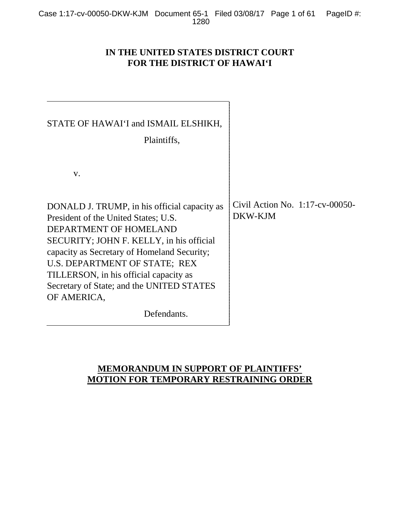## **IN THE UNITED STATES DISTRICT COURT FOR THE DISTRICT OF HAWAI'I**

| STATE OF HAWAI'I and ISMAIL ELSHIKH,<br>Plaintiffs,                                                                                                                                                                                                                                                                                              |                                               |  |
|--------------------------------------------------------------------------------------------------------------------------------------------------------------------------------------------------------------------------------------------------------------------------------------------------------------------------------------------------|-----------------------------------------------|--|
| $V_{\cdot}$                                                                                                                                                                                                                                                                                                                                      |                                               |  |
| DONALD J. TRUMP, in his official capacity as<br>President of the United States; U.S.<br>DEPARTMENT OF HOMELAND<br>SECURITY; JOHN F. KELLY, in his official<br>capacity as Secretary of Homeland Security;<br>U.S. DEPARTMENT OF STATE; REX<br>TILLERSON, in his official capacity as<br>Secretary of State; and the UNITED STATES<br>OF AMERICA, | Civil Action No. $1:17$ -cv-00050-<br>DKW-KJM |  |
| Defendants.                                                                                                                                                                                                                                                                                                                                      |                                               |  |

## **MEMORANDUM IN SUPPORT OF PLAINTIFFS' MOTION FOR TEMPORARY RESTRAINING ORDER**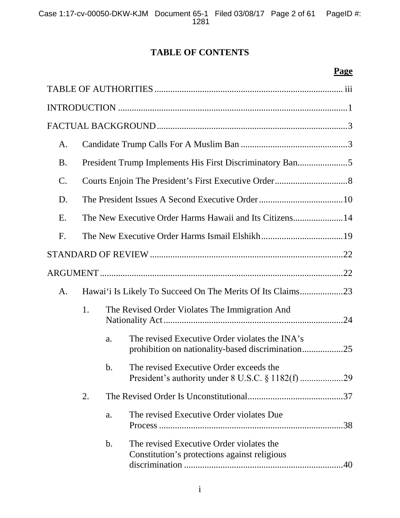# **TABLE OF CONTENTS**

| A.        |    |               |                                                                                                     |
|-----------|----|---------------|-----------------------------------------------------------------------------------------------------|
| <b>B.</b> |    |               |                                                                                                     |
| $C$ .     |    |               |                                                                                                     |
| D.        |    |               |                                                                                                     |
| E.        |    |               |                                                                                                     |
| F.        |    |               |                                                                                                     |
|           |    |               |                                                                                                     |
|           |    |               |                                                                                                     |
| A.        |    |               | Hawai'i Is Likely To Succeed On The Merits Of Its Claims23                                          |
|           | 1. |               | The Revised Order Violates The Immigration And                                                      |
|           |    | a.            | The revised Executive Order violates the INA's<br>prohibition on nationality-based discrimination25 |
|           |    | b.            | The revised Executive Order exceeds the<br>President's authority under 8 U.S.C. § 1182(f)<br>.29    |
|           | 2. |               |                                                                                                     |
|           |    | a.            | The revised Executive Order violates Due                                                            |
|           |    | $\mathbf b$ . | The revised Executive Order violates the<br>Constitution's protections against religious<br>.40     |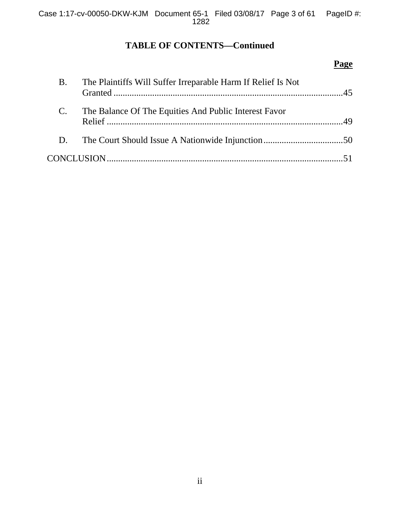# **TABLE OF CONTENTS—Continued**

## **Page**

| <b>B.</b> | The Plaintiffs Will Suffer Irreparable Harm If Relief Is Not |  |
|-----------|--------------------------------------------------------------|--|
| C.        | The Balance Of The Equities And Public Interest Favor        |  |
| D.        |                                                              |  |
|           |                                                              |  |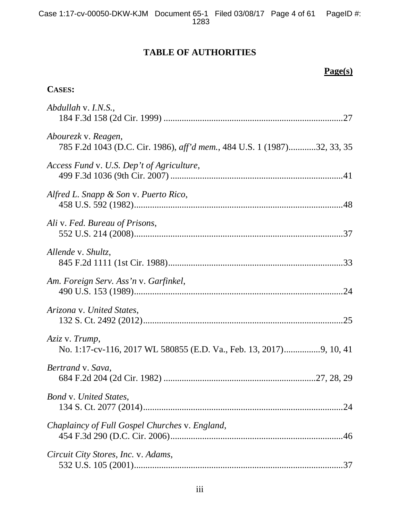## **TABLE OF AUTHORITIES**

**Page(s)**

| <b>CASES:</b>                                                                                  |
|------------------------------------------------------------------------------------------------|
| Abdullah v. I.N.S.,                                                                            |
| Abourezk v. Reagen,<br>785 F.2d 1043 (D.C. Cir. 1986), aff'd mem., 484 U.S. 1 (1987)32, 33, 35 |
| Access Fund v. U.S. Dep't of Agriculture,                                                      |
| Alfred L. Snapp & Son v. Puerto Rico,                                                          |
| Ali v. Fed. Bureau of Prisons,                                                                 |
| Allende v. Shultz,                                                                             |
| Am. Foreign Serv. Ass'n v. Garfinkel,                                                          |
| Arizona v. United States,                                                                      |
| Aziz v. Trump,                                                                                 |
| Bertrand v. Sava,                                                                              |
| <b>Bond v. United States,</b>                                                                  |
| Chaplaincy of Full Gospel Churches v. England,                                                 |
| Circuit City Stores, Inc. v. Adams,                                                            |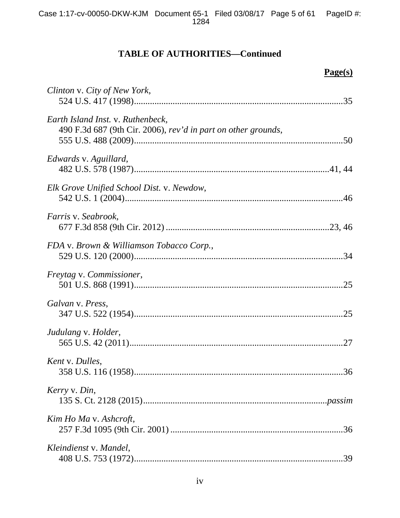|                                                                                                    | Page(s) |
|----------------------------------------------------------------------------------------------------|---------|
| Clinton v. City of New York,                                                                       |         |
| Earth Island Inst. v. Ruthenbeck,<br>490 F.3d 687 (9th Cir. 2006), rev'd in part on other grounds, |         |
| Edwards v. Aguillard,                                                                              |         |
| Elk Grove Unified School Dist. v. Newdow,                                                          |         |
| <i>Farris v. Seabrook,</i>                                                                         |         |
| FDA v. Brown & Williamson Tobacco Corp.,                                                           |         |
| Freytag v. Commissioner,                                                                           |         |
| Galvan v. Press,                                                                                   |         |
| Judulang v. Holder,                                                                                |         |
| Kent v. Dulles,                                                                                    |         |
| Kerry v. Din,                                                                                      |         |
| Kim Ho Ma v. Ashcroft,                                                                             |         |
| Kleindienst v. Mandel,                                                                             |         |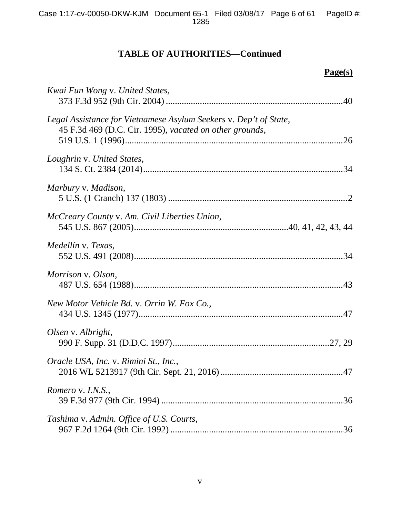|  | ч | eel. | S. |
|--|---|------|----|
|  |   |      |    |

| Kwai Fun Wong v. United States,                                                                                              |
|------------------------------------------------------------------------------------------------------------------------------|
| Legal Assistance for Vietnamese Asylum Seekers v. Dep't of State,<br>45 F.3d 469 (D.C. Cir. 1995), vacated on other grounds, |
| Loughrin v. United States,                                                                                                   |
| Marbury v. Madison,                                                                                                          |
| McCreary County v. Am. Civil Liberties Union,                                                                                |
| Medellín v. Texas,                                                                                                           |
| Morrison v. Olson,                                                                                                           |
| New Motor Vehicle Bd. v. Orrin W. Fox Co.,                                                                                   |
| Olsen v. Albright,                                                                                                           |
| Oracle USA, Inc. v. Rimini St., Inc.,                                                                                        |
| Romero v. I.N.S.,                                                                                                            |
| Tashima v. Admin. Office of U.S. Courts,                                                                                     |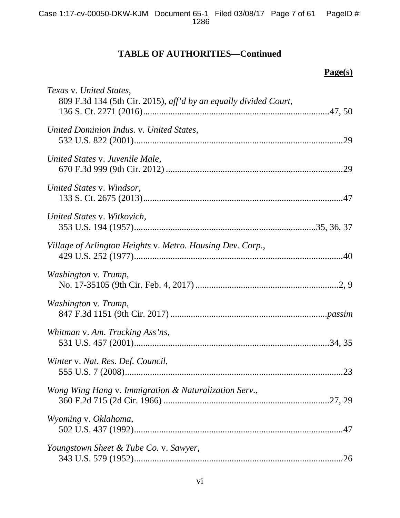|                                                                                             | Page(s) |
|---------------------------------------------------------------------------------------------|---------|
| Texas v. United States.<br>809 F.3d 134 (5th Cir. 2015), aff'd by an equally divided Court, |         |
| United Dominion Indus. v. United States,                                                    |         |
| United States v. Juvenile Male,                                                             |         |
| United States v. Windsor,                                                                   |         |
| United States v. Witkovich,                                                                 |         |
| Village of Arlington Heights v. Metro. Housing Dev. Corp.,                                  |         |
| Washington v. Trump,                                                                        |         |
| Washington v. Trump,                                                                        |         |
| Whitman v. Am. Trucking Ass'ns,                                                             |         |
| Winter v. Nat. Res. Def. Council,                                                           |         |
| Wong Wing Hang v. Immigration & Naturalization Serv.,                                       |         |
| Wyoming v. Oklahoma,                                                                        |         |
| Youngstown Sheet & Tube Co. v. Sawyer,                                                      |         |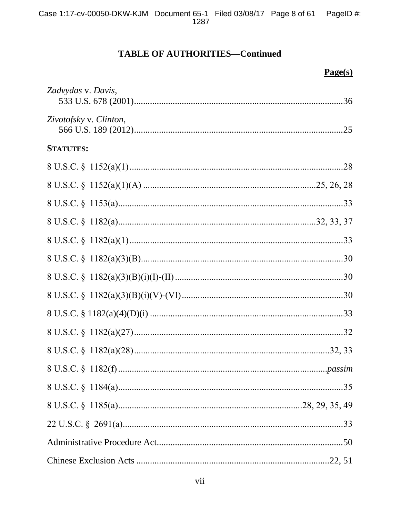$Page(s)$ 

| Zadvydas v. Davis,     |  |
|------------------------|--|
| Zivotofsky v. Clinton, |  |
| <b>STATUTES:</b>       |  |
|                        |  |
|                        |  |
|                        |  |
|                        |  |
|                        |  |
|                        |  |
|                        |  |
|                        |  |
|                        |  |
|                        |  |
|                        |  |
|                        |  |
|                        |  |
|                        |  |
|                        |  |
|                        |  |
|                        |  |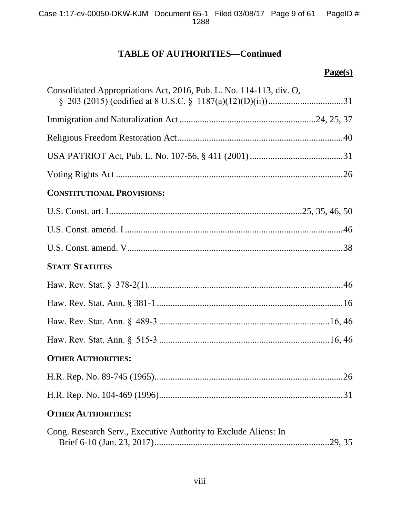# **Page(s)**

| Consolidated Appropriations Act, 2016, Pub. L. No. 114-113, div. O, |  |
|---------------------------------------------------------------------|--|
|                                                                     |  |
|                                                                     |  |
|                                                                     |  |
|                                                                     |  |
| <b>CONSTITUTIONAL PROVISIONS:</b>                                   |  |
|                                                                     |  |
|                                                                     |  |
|                                                                     |  |
| <b>STATE STATUTES</b>                                               |  |
|                                                                     |  |
|                                                                     |  |
|                                                                     |  |
|                                                                     |  |
| <b>OTHER AUTHORITIES:</b>                                           |  |
|                                                                     |  |
|                                                                     |  |
| <b>OTHER AUTHORITIES:</b>                                           |  |
| Cong. Research Serv., Executive Authority to Exclude Aliens: In     |  |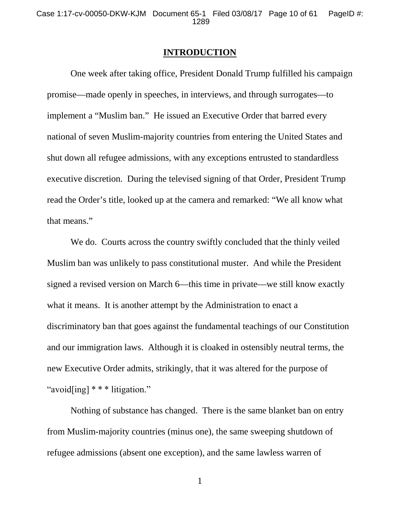#### **INTRODUCTION**

One week after taking office, President Donald Trump fulfilled his campaign promise—made openly in speeches, in interviews, and through surrogates—to implement a "Muslim ban." He issued an Executive Order that barred every national of seven Muslim-majority countries from entering the United States and shut down all refugee admissions, with any exceptions entrusted to standardless executive discretion. During the televised signing of that Order, President Trump read the Order's title, looked up at the camera and remarked: "We all know what that means."

We do. Courts across the country swiftly concluded that the thinly veiled Muslim ban was unlikely to pass constitutional muster. And while the President signed a revised version on March 6—this time in private—we still know exactly what it means. It is another attempt by the Administration to enact a discriminatory ban that goes against the fundamental teachings of our Constitution and our immigration laws. Although it is cloaked in ostensibly neutral terms, the new Executive Order admits, strikingly, that it was altered for the purpose of "avoid[ing] \* \* \* litigation."

Nothing of substance has changed. There is the same blanket ban on entry from Muslim-majority countries (minus one), the same sweeping shutdown of refugee admissions (absent one exception), and the same lawless warren of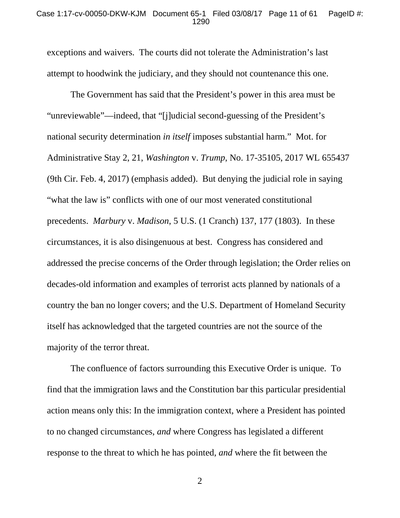#### Case 1:17-cv-00050-DKW-KJM Document 65-1 Filed 03/08/17 Page 11 of 61 PageID #: 1290

exceptions and waivers. The courts did not tolerate the Administration's last attempt to hoodwink the judiciary, and they should not countenance this one.

The Government has said that the President's power in this area must be "unreviewable"—indeed, that "[j]udicial second-guessing of the President's national security determination *in itself* imposes substantial harm." Mot. for Administrative Stay 2, 21, *Washington* v. *Trump*, No. 17-35105, 2017 WL 655437 (9th Cir. Feb. 4, 2017) (emphasis added). But denying the judicial role in saying "what the law is" conflicts with one of our most venerated constitutional precedents. *Marbury* v. *Madison*, 5 U.S. (1 Cranch) 137, 177 (1803). In these circumstances, it is also disingenuous at best. Congress has considered and addressed the precise concerns of the Order through legislation; the Order relies on decades-old information and examples of terrorist acts planned by nationals of a country the ban no longer covers; and the U.S. Department of Homeland Security itself has acknowledged that the targeted countries are not the source of the majority of the terror threat.

The confluence of factors surrounding this Executive Order is unique. To find that the immigration laws and the Constitution bar this particular presidential action means only this: In the immigration context, where a President has pointed to no changed circumstances, *and* where Congress has legislated a different response to the threat to which he has pointed, *and* where the fit between the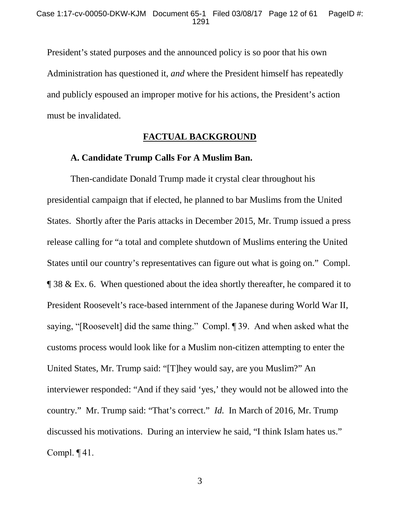President's stated purposes and the announced policy is so poor that his own Administration has questioned it, *and* where the President himself has repeatedly and publicly espoused an improper motive for his actions, the President's action must be invalidated.

### **FACTUAL BACKGROUND**

#### **A. Candidate Trump Calls For A Muslim Ban.**

Then-candidate Donald Trump made it crystal clear throughout his presidential campaign that if elected, he planned to bar Muslims from the United States. Shortly after the Paris attacks in December 2015, Mr. Trump issued a press release calling for "a total and complete shutdown of Muslims entering the United States until our country's representatives can figure out what is going on." Compl. ¶ 38 & Ex. 6. When questioned about the idea shortly thereafter, he compared it to President Roosevelt's race-based internment of the Japanese during World War II, saying, "[Roosevelt] did the same thing." Compl. ¶ 39. And when asked what the customs process would look like for a Muslim non-citizen attempting to enter the United States, Mr. Trump said: "[T]hey would say, are you Muslim?" An interviewer responded: "And if they said 'yes,' they would not be allowed into the country." Mr. Trump said: "That's correct." *Id.* In March of 2016, Mr. Trump discussed his motivations. During an interview he said, "I think Islam hates us." Compl.  $\P$ 41.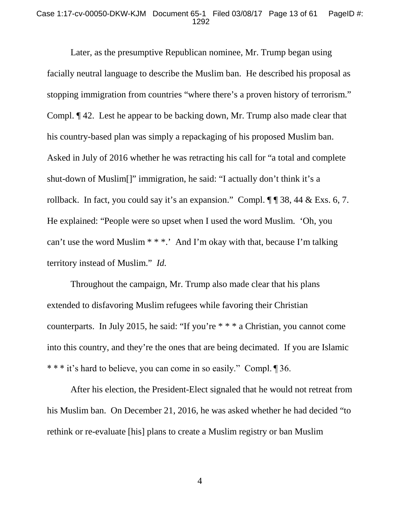#### Case 1:17-cv-00050-DKW-KJM Document 65-1 Filed 03/08/17 Page 13 of 61 PageID #: 1292

Later, as the presumptive Republican nominee, Mr. Trump began using facially neutral language to describe the Muslim ban. He described his proposal as stopping immigration from countries "where there's a proven history of terrorism." Compl. ¶ 42. Lest he appear to be backing down, Mr. Trump also made clear that his country-based plan was simply a repackaging of his proposed Muslim ban. Asked in July of 2016 whether he was retracting his call for "a total and complete shut-down of Muslim[]" immigration, he said: "I actually don't think it's a rollback. In fact, you could say it's an expansion." Compl.  $\P$   $\P$  38, 44 & Exs. 6, 7. He explained: "People were so upset when I used the word Muslim. 'Oh, you can't use the word Muslim \* \* \*.' And I'm okay with that, because I'm talking territory instead of Muslim." *Id.*

Throughout the campaign, Mr. Trump also made clear that his plans extended to disfavoring Muslim refugees while favoring their Christian counterparts. In July 2015, he said: "If you're \* \* \* a Christian, you cannot come into this country, and they're the ones that are being decimated. If you are Islamic \* \* \* it's hard to believe, you can come in so easily." Compl. ¶ 36.

After his election, the President-Elect signaled that he would not retreat from his Muslim ban. On December 21, 2016, he was asked whether he had decided "to rethink or re-evaluate [his] plans to create a Muslim registry or ban Muslim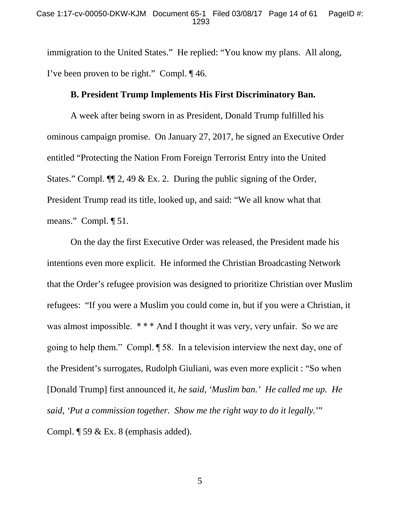immigration to the United States." He replied: "You know my plans. All along, I've been proven to be right." Compl. ¶ 46.

### **B. President Trump Implements His First Discriminatory Ban.**

A week after being sworn in as President, Donald Trump fulfilled his ominous campaign promise. On January 27, 2017, he signed an Executive Order entitled "Protecting the Nation From Foreign Terrorist Entry into the United States." Compl. ¶¶ 2, 49 & Ex. 2. During the public signing of the Order, President Trump read its title, looked up, and said: "We all know what that means." Compl. ¶ 51.

On the day the first Executive Order was released, the President made his intentions even more explicit. He informed the Christian Broadcasting Network that the Order's refugee provision was designed to prioritize Christian over Muslim refugees: "If you were a Muslim you could come in, but if you were a Christian, it was almost impossible. \*\*\* And I thought it was very, very unfair. So we are going to help them." Compl. ¶ 58. In a television interview the next day, one of the President's surrogates, Rudolph Giuliani, was even more explicit : "So when [Donald Trump] first announced it, *he said, 'Muslim ban.' He called me up. He said, 'Put a commission together. Show me the right way to do it legally.*'"

Compl. ¶ 59 & Ex. 8 (emphasis added).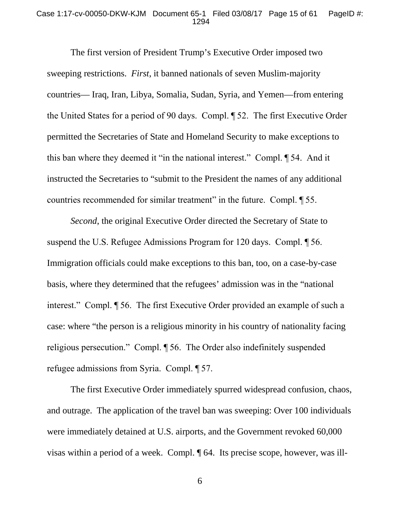#### Case 1:17-cv-00050-DKW-KJM Document 65-1 Filed 03/08/17 Page 15 of 61 PageID #: 1294

The first version of President Trump's Executive Order imposed two sweeping restrictions. *First*, it banned nationals of seven Muslim-majority countries— Iraq, Iran, Libya, Somalia, Sudan, Syria, and Yemen—from entering the United States for a period of 90 days. Compl. ¶ 52. The first Executive Order permitted the Secretaries of State and Homeland Security to make exceptions to this ban where they deemed it "in the national interest." Compl. ¶ 54. And it instructed the Secretaries to "submit to the President the names of any additional countries recommended for similar treatment" in the future. Compl. ¶ 55.

*Second*, the original Executive Order directed the Secretary of State to suspend the U.S. Refugee Admissions Program for 120 days. Compl. ¶ 56. Immigration officials could make exceptions to this ban, too, on a case-by-case basis, where they determined that the refugees' admission was in the "national interest." Compl. ¶ 56. The first Executive Order provided an example of such a case: where "the person is a religious minority in his country of nationality facing religious persecution." Compl. ¶ 56. The Order also indefinitely suspended refugee admissions from Syria. Compl. ¶ 57.

The first Executive Order immediately spurred widespread confusion, chaos, and outrage. The application of the travel ban was sweeping: Over 100 individuals were immediately detained at U.S. airports, and the Government revoked 60,000 visas within a period of a week. Compl. ¶ 64. Its precise scope, however, was ill-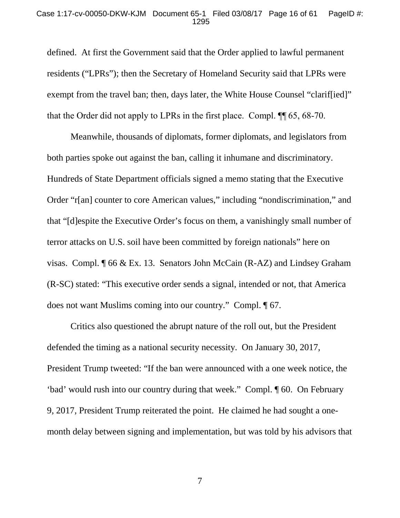#### Case 1:17-cv-00050-DKW-KJM Document 65-1 Filed 03/08/17 Page 16 of 61 PageID #: 1295

defined. At first the Government said that the Order applied to lawful permanent residents ("LPRs"); then the Secretary of Homeland Security said that LPRs were exempt from the travel ban; then, days later, the White House Counsel "clarif[ied]" that the Order did not apply to LPRs in the first place. Compl. ¶¶ 65, 68-70.

Meanwhile, thousands of diplomats, former diplomats, and legislators from both parties spoke out against the ban, calling it inhumane and discriminatory. Hundreds of State Department officials signed a memo stating that the Executive Order "r[an] counter to core American values," including "nondiscrimination," and that "[d]espite the Executive Order's focus on them, a vanishingly small number of terror attacks on U.S. soil have been committed by foreign nationals" here on visas. Compl. ¶ 66 & Ex. 13. Senators John McCain (R-AZ) and Lindsey Graham (R-SC) stated: "This executive order sends a signal, intended or not, that America does not want Muslims coming into our country." Compl. ¶ 67.

Critics also questioned the abrupt nature of the roll out, but the President defended the timing as a national security necessity. On January 30, 2017, President Trump tweeted: "If the ban were announced with a one week notice, the 'bad' would rush into our country during that week." Compl. ¶ 60. On February 9, 2017, President Trump reiterated the point. He claimed he had sought a onemonth delay between signing and implementation, but was told by his advisors that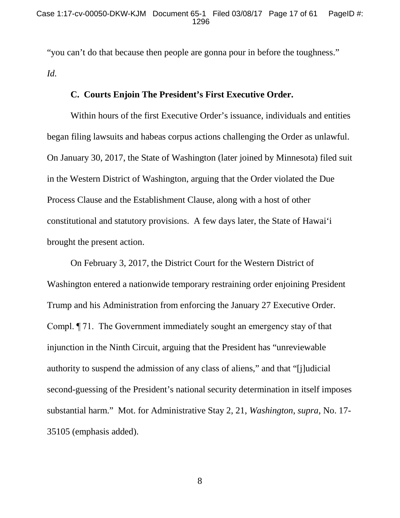"you can't do that because then people are gonna pour in before the toughness." *Id.*

### **C. Courts Enjoin The President's First Executive Order.**

Within hours of the first Executive Order's issuance, individuals and entities began filing lawsuits and habeas corpus actions challenging the Order as unlawful. On January 30, 2017, the State of Washington (later joined by Minnesota) filed suit in the Western District of Washington, arguing that the Order violated the Due Process Clause and the Establishment Clause, along with a host of other constitutional and statutory provisions. A few days later, the State of Hawai'i brought the present action.

On February 3, 2017, the District Court for the Western District of Washington entered a nationwide temporary restraining order enjoining President Trump and his Administration from enforcing the January 27 Executive Order. Compl. ¶ 71. The Government immediately sought an emergency stay of that injunction in the Ninth Circuit, arguing that the President has "unreviewable authority to suspend the admission of any class of aliens," and that "[j]udicial second-guessing of the President's national security determination in itself imposes substantial harm." Mot. for Administrative Stay 2, 21, *Washington*, *supra*, No. 17- 35105 (emphasis added).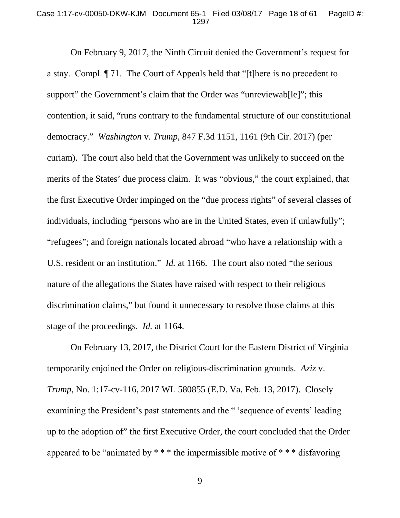#### Case 1:17-cv-00050-DKW-KJM Document 65-1 Filed 03/08/17 Page 18 of 61 PageID #: 1297

On February 9, 2017, the Ninth Circuit denied the Government's request for a stay. Compl. ¶ 71. The Court of Appeals held that "[t]here is no precedent to support" the Government's claim that the Order was "unreviewab<sup>[1e]"</sup>; this contention, it said, "runs contrary to the fundamental structure of our constitutional democracy." *Washington* v. *Trump*, 847 F.3d 1151, 1161 (9th Cir. 2017) (per curiam). The court also held that the Government was unlikely to succeed on the merits of the States' due process claim. It was "obvious," the court explained, that the first Executive Order impinged on the "due process rights" of several classes of individuals, including "persons who are in the United States, even if unlawfully"; "refugees"; and foreign nationals located abroad "who have a relationship with a U.S. resident or an institution." *Id.* at 1166. The court also noted "the serious nature of the allegations the States have raised with respect to their religious discrimination claims," but found it unnecessary to resolve those claims at this stage of the proceedings. *Id.* at 1164.

On February 13, 2017, the District Court for the Eastern District of Virginia temporarily enjoined the Order on religious-discrimination grounds. *Aziz* v. *Trump*, No. 1:17-cv-116, 2017 WL 580855 (E.D. Va. Feb. 13, 2017). Closely examining the President's past statements and the " 'sequence of events' leading up to the adoption of" the first Executive Order, the court concluded that the Order appeared to be "animated by \* \* \* the impermissible motive of \* \* \* disfavoring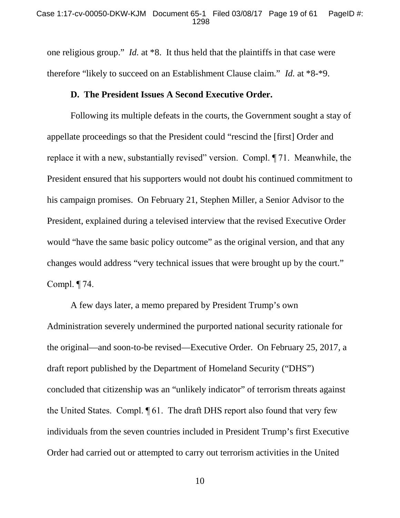one religious group." *Id.* at \*8. It thus held that the plaintiffs in that case were therefore "likely to succeed on an Establishment Clause claim." *Id.* at \*8-\*9.

### **D. The President Issues A Second Executive Order.**

Following its multiple defeats in the courts, the Government sought a stay of appellate proceedings so that the President could "rescind the [first] Order and replace it with a new, substantially revised" version. Compl. ¶ 71. Meanwhile, the President ensured that his supporters would not doubt his continued commitment to his campaign promises. On February 21, Stephen Miller, a Senior Advisor to the President, explained during a televised interview that the revised Executive Order would "have the same basic policy outcome" as the original version, and that any changes would address "very technical issues that were brought up by the court." Compl. ¶ 74.

A few days later, a memo prepared by President Trump's own Administration severely undermined the purported national security rationale for the original—and soon-to-be revised—Executive Order. On February 25, 2017, a draft report published by the Department of Homeland Security ("DHS") concluded that citizenship was an "unlikely indicator" of terrorism threats against the United States. Compl. ¶ 61. The draft DHS report also found that very few individuals from the seven countries included in President Trump's first Executive Order had carried out or attempted to carry out terrorism activities in the United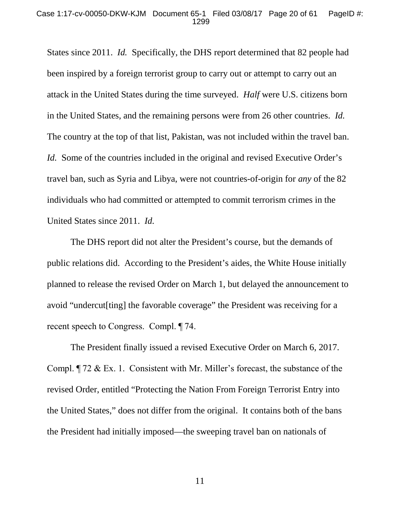#### Case 1:17-cv-00050-DKW-KJM Document 65-1 Filed 03/08/17 Page 20 of 61 PageID #: 1299

States since 2011. *Id.* Specifically, the DHS report determined that 82 people had been inspired by a foreign terrorist group to carry out or attempt to carry out an attack in the United States during the time surveyed. *Half* were U.S. citizens born in the United States, and the remaining persons were from 26 other countries. *Id.* The country at the top of that list, Pakistan, was not included within the travel ban. *Id.* Some of the countries included in the original and revised Executive Order's travel ban, such as Syria and Libya, were not countries-of-origin for *any* of the 82 individuals who had committed or attempted to commit terrorism crimes in the United States since 2011. *Id.*

The DHS report did not alter the President's course, but the demands of public relations did. According to the President's aides, the White House initially planned to release the revised Order on March 1, but delayed the announcement to avoid "undercut[ting] the favorable coverage" the President was receiving for a recent speech to Congress. Compl. ¶ 74.

The President finally issued a revised Executive Order on March 6, 2017. Compl. ¶ 72 & Ex. 1. Consistent with Mr. Miller's forecast, the substance of the revised Order, entitled "Protecting the Nation From Foreign Terrorist Entry into the United States," does not differ from the original. It contains both of the bans the President had initially imposed—the sweeping travel ban on nationals of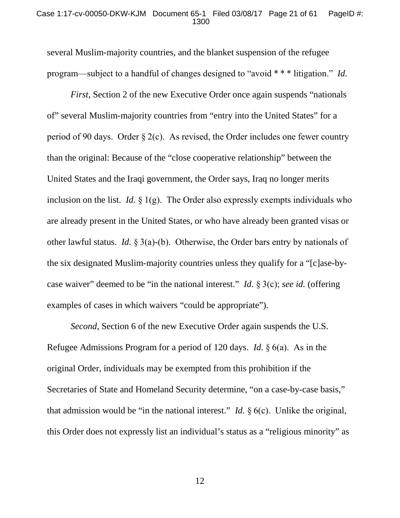#### Case 1:17-cv-00050-DKW-KJM Document 65-1 Filed 03/08/17 Page 21 of 61 PageID #: 1300

several Muslim-majority countries, and the blanket suspension of the refugee program—subject to a handful of changes designed to "avoid \* \* \* litigation." *Id.*

*First*, Section 2 of the new Executive Order once again suspends "nationals of" several Muslim-majority countries from "entry into the United States" for a period of 90 days. Order  $\S 2(c)$ . As revised, the Order includes one fewer country than the original: Because of the "close cooperative relationship" between the United States and the Iraqi government, the Order says, Iraq no longer merits inclusion on the list. *Id.*  $\S$  1(g). The Order also expressly exempts individuals who are already present in the United States, or who have already been granted visas or other lawful status. *Id.* § 3(a)-(b). Otherwise, the Order bars entry by nationals of the six designated Muslim-majority countries unless they qualify for a "[c]ase-bycase waiver" deemed to be "in the national interest." *Id.* § 3(c); *see id.* (offering examples of cases in which waivers "could be appropriate").

*Second*, Section 6 of the new Executive Order again suspends the U.S. Refugee Admissions Program for a period of 120 days. *Id.* § 6(a). As in the original Order, individuals may be exempted from this prohibition if the Secretaries of State and Homeland Security determine, "on a case-by-case basis," that admission would be "in the national interest." *Id.*  $\S$  6(c). Unlike the original, this Order does not expressly list an individual's status as a "religious minority" as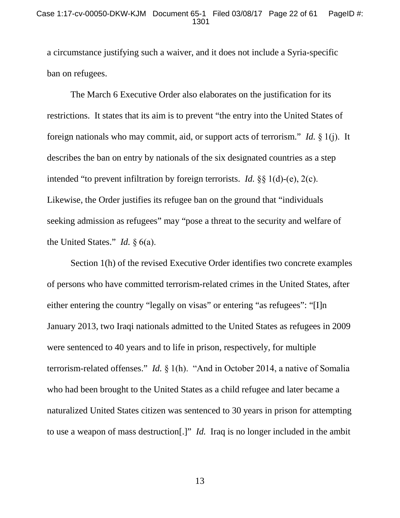#### Case 1:17-cv-00050-DKW-KJM Document 65-1 Filed 03/08/17 Page 22 of 61 PageID #: 1301

a circumstance justifying such a waiver, and it does not include a Syria-specific ban on refugees.

The March 6 Executive Order also elaborates on the justification for its restrictions. It states that its aim is to prevent "the entry into the United States of foreign nationals who may commit, aid, or support acts of terrorism." *Id.* § 1(j). It describes the ban on entry by nationals of the six designated countries as a step intended "to prevent infiltration by foreign terrorists. *Id.* §§ 1(d)-(e), 2(c). Likewise, the Order justifies its refugee ban on the ground that "individuals seeking admission as refugees" may "pose a threat to the security and welfare of the United States." *Id.* § 6(a).

Section 1(h) of the revised Executive Order identifies two concrete examples of persons who have committed terrorism-related crimes in the United States, after either entering the country "legally on visas" or entering "as refugees": "[I]n January 2013, two Iraqi nationals admitted to the United States as refugees in 2009 were sentenced to 40 years and to life in prison, respectively, for multiple terrorism-related offenses." *Id.* § 1(h). "And in October 2014, a native of Somalia who had been brought to the United States as a child refugee and later became a naturalized United States citizen was sentenced to 30 years in prison for attempting to use a weapon of mass destruction[.]" *Id.* Iraq is no longer included in the ambit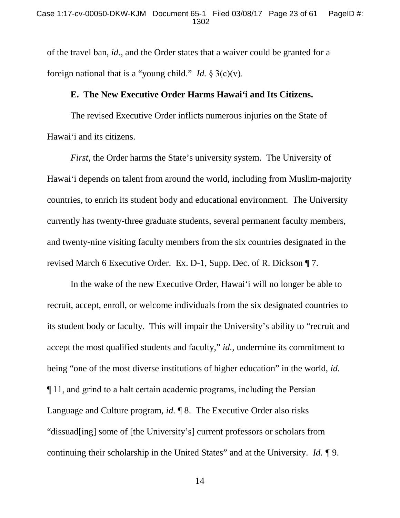of the travel ban, *id.*, and the Order states that a waiver could be granted for a foreign national that is a "young child." *Id.*  $\frac{3}{5}(c)(v)$ .

### **E. The New Executive Order Harms Hawai'i and Its Citizens.**

The revised Executive Order inflicts numerous injuries on the State of Hawai'i and its citizens.

*First*, the Order harms the State's university system. The University of Hawai'i depends on talent from around the world, including from Muslim-majority countries, to enrich its student body and educational environment. The University currently has twenty-three graduate students, several permanent faculty members, and twenty-nine visiting faculty members from the six countries designated in the revised March 6 Executive Order. Ex. D-1, Supp. Dec. of R. Dickson ¶ 7.

In the wake of the new Executive Order, Hawai'i will no longer be able to recruit, accept, enroll, or welcome individuals from the six designated countries to its student body or faculty. This will impair the University's ability to "recruit and accept the most qualified students and faculty," *id.*, undermine its commitment to being "one of the most diverse institutions of higher education" in the world, *id.* ¶ 11, and grind to a halt certain academic programs, including the Persian Language and Culture program, *id.* ¶ 8. The Executive Order also risks "dissuad[ing] some of [the University's] current professors or scholars from continuing their scholarship in the United States" and at the University. *Id. ¶* 9.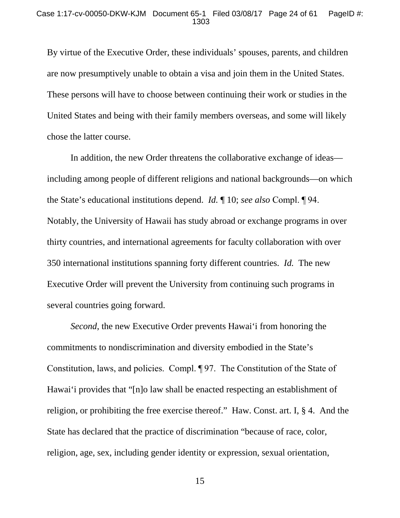By virtue of the Executive Order, these individuals' spouses, parents, and children are now presumptively unable to obtain a visa and join them in the United States. These persons will have to choose between continuing their work or studies in the United States and being with their family members overseas, and some will likely chose the latter course.

In addition, the new Order threatens the collaborative exchange of ideas including among people of different religions and national backgrounds—on which the State's educational institutions depend. *Id.* ¶ 10; *see also* Compl. ¶ 94. Notably, the University of Hawaii has study abroad or exchange programs in over thirty countries, and international agreements for faculty collaboration with over 350 international institutions spanning forty different countries. *Id.* The new Executive Order will prevent the University from continuing such programs in several countries going forward.

*Second*, the new Executive Order prevents Hawai'i from honoring the commitments to nondiscrimination and diversity embodied in the State's Constitution, laws, and policies. Compl. ¶ 97. The Constitution of the State of Hawai'i provides that "[n]o law shall be enacted respecting an establishment of religion, or prohibiting the free exercise thereof." Haw. Const. art. I, § 4. And the State has declared that the practice of discrimination "because of race, color, religion, age, sex, including gender identity or expression, sexual orientation,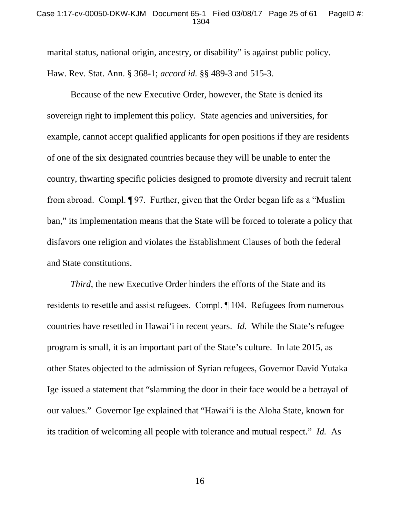#### Case 1:17-cv-00050-DKW-KJM Document 65-1 Filed 03/08/17 Page 25 of 61 PageID #: 1304

marital status, national origin, ancestry, or disability" is against public policy. Haw. Rev. Stat. Ann. § 368-1; *accord id.* §§ 489-3 and 515-3.

Because of the new Executive Order, however, the State is denied its sovereign right to implement this policy. State agencies and universities, for example, cannot accept qualified applicants for open positions if they are residents of one of the six designated countries because they will be unable to enter the country, thwarting specific policies designed to promote diversity and recruit talent from abroad. Compl. ¶ 97. Further, given that the Order began life as a "Muslim ban," its implementation means that the State will be forced to tolerate a policy that disfavors one religion and violates the Establishment Clauses of both the federal and State constitutions.

*Third*, the new Executive Order hinders the efforts of the State and its residents to resettle and assist refugees. Compl. ¶ 104. Refugees from numerous countries have resettled in Hawai'i in recent years. *Id.* While the State's refugee program is small, it is an important part of the State's culture. In late 2015, as other States objected to the admission of Syrian refugees, Governor David Yutaka Ige issued a statement that "slamming the door in their face would be a betrayal of our values." Governor Ige explained that "Hawai'i is the Aloha State, known for its tradition of welcoming all people with tolerance and mutual respect." *Id.* As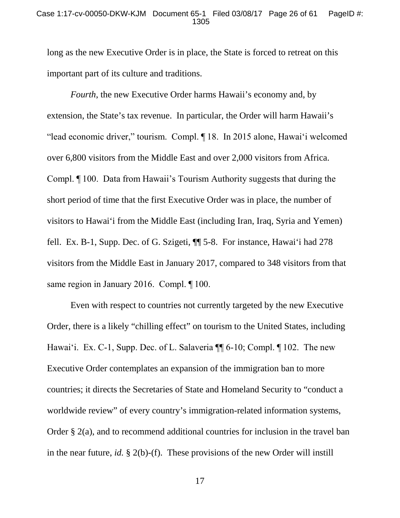#### Case 1:17-cv-00050-DKW-KJM Document 65-1 Filed 03/08/17 Page 26 of 61 PageID #: 1305

long as the new Executive Order is in place, the State is forced to retreat on this important part of its culture and traditions.

*Fourth*, the new Executive Order harms Hawaii's economy and, by extension, the State's tax revenue. In particular, the Order will harm Hawaii's "lead economic driver," tourism. Compl. ¶ 18. In 2015 alone, Hawai'i welcomed over 6,800 visitors from the Middle East and over 2,000 visitors from Africa. Compl. ¶ 100. Data from Hawaii's Tourism Authority suggests that during the short period of time that the first Executive Order was in place, the number of visitors to Hawai'i from the Middle East (including Iran, Iraq, Syria and Yemen) fell. Ex. B-1, Supp. Dec. of G. Szigeti, ¶¶ 5-8. For instance, Hawai'i had 278 visitors from the Middle East in January 2017, compared to 348 visitors from that same region in January 2016. Compl. 100.

Even with respect to countries not currently targeted by the new Executive Order, there is a likely "chilling effect" on tourism to the United States, including Hawai'i. Ex. C-1, Supp. Dec. of L. Salaveria ¶¶ 6-10; Compl. ¶ 102. The new Executive Order contemplates an expansion of the immigration ban to more countries; it directs the Secretaries of State and Homeland Security to "conduct a worldwide review" of every country's immigration-related information systems, Order § 2(a), and to recommend additional countries for inclusion in the travel ban in the near future, *id.* § 2(b)-(f). These provisions of the new Order will instill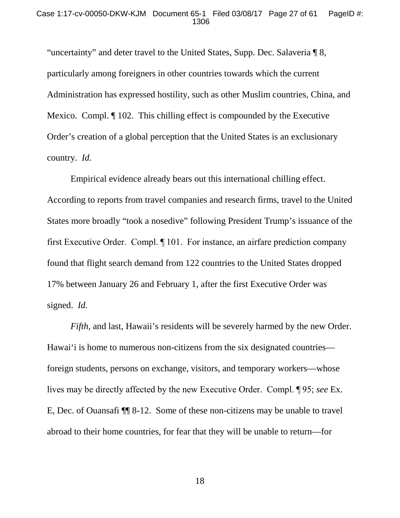#### Case 1:17-cv-00050-DKW-KJM Document 65-1 Filed 03/08/17 Page 27 of 61 PageID #: 1306

"uncertainty" and deter travel to the United States, Supp. Dec. Salaveria ¶ 8, particularly among foreigners in other countries towards which the current Administration has expressed hostility, such as other Muslim countries, China, and Mexico. Compl. ¶ 102. This chilling effect is compounded by the Executive Order's creation of a global perception that the United States is an exclusionary country. *Id.*

Empirical evidence already bears out this international chilling effect. According to reports from travel companies and research firms, travel to the United States more broadly "took a nosedive" following President Trump's issuance of the first Executive Order. Compl. ¶ 101. For instance, an airfare prediction company found that flight search demand from 122 countries to the United States dropped 17% between January 26 and February 1, after the first Executive Order was signed. *Id.*

*Fifth*, and last, Hawaii's residents will be severely harmed by the new Order. Hawai'i is home to numerous non-citizens from the six designated countries foreign students, persons on exchange, visitors, and temporary workers—whose lives may be directly affected by the new Executive Order. Compl. ¶ 95; *see* Ex. E, Dec. of Ouansafi ¶¶ 8-12. Some of these non-citizens may be unable to travel abroad to their home countries, for fear that they will be unable to return—for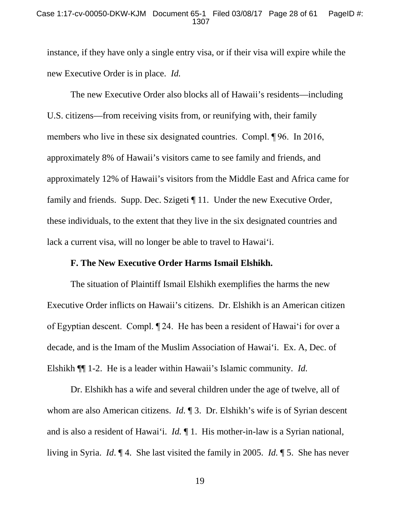instance, if they have only a single entry visa, or if their visa will expire while the new Executive Order is in place. *Id.*

The new Executive Order also blocks all of Hawaii's residents—including U.S. citizens—from receiving visits from, or reunifying with, their family members who live in these six designated countries. Compl. ¶ 96. In 2016, approximately 8% of Hawaii's visitors came to see family and friends, and approximately 12% of Hawaii's visitors from the Middle East and Africa came for family and friends. Supp. Dec. Szigeti ¶ 11*.* Under the new Executive Order, these individuals, to the extent that they live in the six designated countries and lack a current visa, will no longer be able to travel to Hawai'i.

### **F. The New Executive Order Harms Ismail Elshikh.**

The situation of Plaintiff Ismail Elshikh exemplifies the harms the new Executive Order inflicts on Hawaii's citizens. Dr. Elshikh is an American citizen of Egyptian descent. Compl. ¶ 24. He has been a resident of Hawai'i for over a decade, and is the Imam of the Muslim Association of Hawai'i. Ex. A, Dec. of Elshikh ¶¶ 1-2. He is a leader within Hawaii's Islamic community. *Id.*

Dr. Elshikh has a wife and several children under the age of twelve, all of whom are also American citizens. *Id.* 13. Dr. Elshikh's wife is of Syrian descent and is also a resident of Hawai'i. *Id.* ¶ 1. His mother-in-law is a Syrian national, living in Syria. *Id*. ¶ 4. She last visited the family in 2005. *Id.* ¶ 5. She has never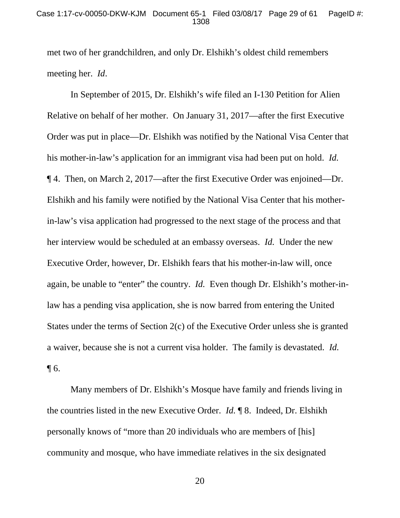met two of her grandchildren, and only Dr. Elshikh's oldest child remembers meeting her. *Id*.

In September of 2015, Dr. Elshikh's wife filed an I-130 Petition for Alien Relative on behalf of her mother. On January 31, 2017—after the first Executive Order was put in place—Dr. Elshikh was notified by the National Visa Center that his mother-in-law's application for an immigrant visa had been put on hold. *Id.* ¶ 4. Then, on March 2, 2017—after the first Executive Order was enjoined—Dr. Elshikh and his family were notified by the National Visa Center that his motherin-law's visa application had progressed to the next stage of the process and that her interview would be scheduled at an embassy overseas. *Id.* Under the new Executive Order, however, Dr. Elshikh fears that his mother-in-law will, once again, be unable to "enter" the country. *Id.* Even though Dr. Elshikh's mother-inlaw has a pending visa application, she is now barred from entering the United States under the terms of Section 2(c) of the Executive Order unless she is granted a waiver, because she is not a current visa holder. The family is devastated. *Id.*  $\P$  6.

Many members of Dr. Elshikh's Mosque have family and friends living in the countries listed in the new Executive Order. *Id.* ¶ 8. Indeed, Dr. Elshikh personally knows of "more than 20 individuals who are members of [his] community and mosque, who have immediate relatives in the six designated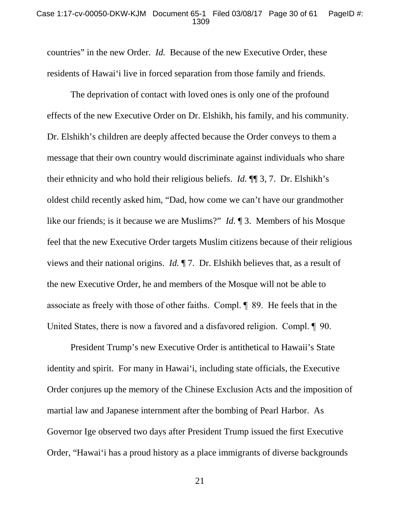#### Case 1:17-cv-00050-DKW-KJM Document 65-1 Filed 03/08/17 Page 30 of 61 PageID #: 1309

countries" in the new Order. *Id.* Because of the new Executive Order, these residents of Hawai'i live in forced separation from those family and friends.

The deprivation of contact with loved ones is only one of the profound effects of the new Executive Order on Dr. Elshikh, his family, and his community. Dr. Elshikh's children are deeply affected because the Order conveys to them a message that their own country would discriminate against individuals who share their ethnicity and who hold their religious beliefs. *Id.* ¶¶ 3, 7. Dr. Elshikh's oldest child recently asked him, "Dad, how come we can't have our grandmother like our friends; is it because we are Muslims?" *Id.* ¶ 3. Members of his Mosque feel that the new Executive Order targets Muslim citizens because of their religious views and their national origins. *Id.* ¶ 7. Dr. Elshikh believes that, as a result of the new Executive Order, he and members of the Mosque will not be able to associate as freely with those of other faiths. Compl. ¶ 89. He feels that in the United States, there is now a favored and a disfavored religion. Compl. 190.

President Trump's new Executive Order is antithetical to Hawaii's State identity and spirit. For many in Hawai'i, including state officials, the Executive Order conjures up the memory of the Chinese Exclusion Acts and the imposition of martial law and Japanese internment after the bombing of Pearl Harbor. As Governor Ige observed two days after President Trump issued the first Executive Order, "Hawai'i has a proud history as a place immigrants of diverse backgrounds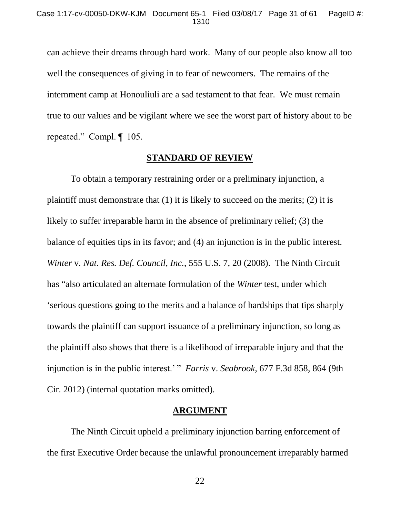can achieve their dreams through hard work. Many of our people also know all too well the consequences of giving in to fear of newcomers. The remains of the internment camp at Honouliuli are a sad testament to that fear. We must remain true to our values and be vigilant where we see the worst part of history about to be repeated." Compl. ¶ 105.

### **STANDARD OF REVIEW**

To obtain a temporary restraining order or a preliminary injunction, a plaintiff must demonstrate that (1) it is likely to succeed on the merits; (2) it is likely to suffer irreparable harm in the absence of preliminary relief; (3) the balance of equities tips in its favor; and (4) an injunction is in the public interest. *Winter* v*. Nat. Res. Def. Council*, *Inc.*, 555 U.S. 7, 20 (2008). The Ninth Circuit has "also articulated an alternate formulation of the *Winter* test, under which 'serious questions going to the merits and a balance of hardships that tips sharply towards the plaintiff can support issuance of a preliminary injunction, so long as the plaintiff also shows that there is a likelihood of irreparable injury and that the injunction is in the public interest.' " *Farris* v. *Seabrook*, 677 F.3d 858, 864 (9th Cir. 2012) (internal quotation marks omitted).

#### **ARGUMENT**

The Ninth Circuit upheld a preliminary injunction barring enforcement of the first Executive Order because the unlawful pronouncement irreparably harmed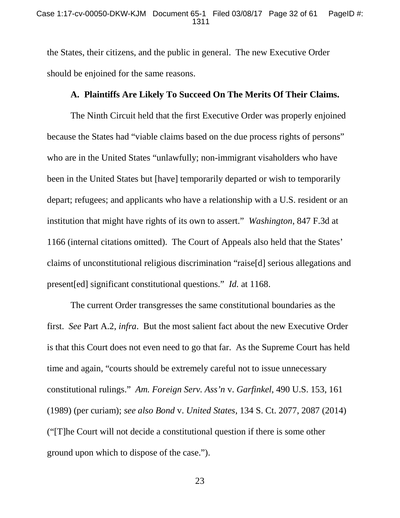the States, their citizens, and the public in general. The new Executive Order should be enjoined for the same reasons.

### **A. Plaintiffs Are Likely To Succeed On The Merits Of Their Claims.**

The Ninth Circuit held that the first Executive Order was properly enjoined because the States had "viable claims based on the due process rights of persons" who are in the United States "unlawfully; non-immigrant visaholders who have been in the United States but [have] temporarily departed or wish to temporarily depart; refugees; and applicants who have a relationship with a U.S. resident or an institution that might have rights of its own to assert." *Washington*, 847 F.3d at 1166 (internal citations omitted). The Court of Appeals also held that the States' claims of unconstitutional religious discrimination "raise[d] serious allegations and present[ed] significant constitutional questions." *Id.* at 1168.

The current Order transgresses the same constitutional boundaries as the first. *See* Part A.2, *infra*. But the most salient fact about the new Executive Order is that this Court does not even need to go that far. As the Supreme Court has held time and again, "courts should be extremely careful not to issue unnecessary constitutional rulings." *Am. Foreign Serv. Ass'n* v. *Garfinkel*, 490 U.S. 153, 161 (1989) (per curiam); *see also Bond* v. *United States*, 134 S. Ct. 2077, 2087 (2014) ("[T]he Court will not decide a constitutional question if there is some other ground upon which to dispose of the case.").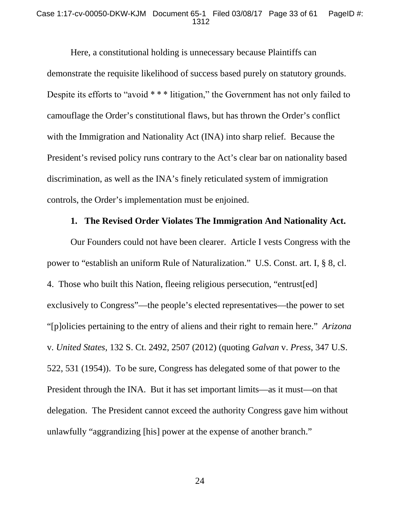#### Case 1:17-cv-00050-DKW-KJM Document 65-1 Filed 03/08/17 Page 33 of 61 PageID #: 1312

Here, a constitutional holding is unnecessary because Plaintiffs can demonstrate the requisite likelihood of success based purely on statutory grounds. Despite its efforts to "avoid \* \* \* litigation," the Government has not only failed to camouflage the Order's constitutional flaws, but has thrown the Order's conflict with the Immigration and Nationality Act (INA) into sharp relief. Because the President's revised policy runs contrary to the Act's clear bar on nationality based discrimination, as well as the INA's finely reticulated system of immigration controls, the Order's implementation must be enjoined.

### **1. The Revised Order Violates The Immigration And Nationality Act.**

Our Founders could not have been clearer. Article I vests Congress with the power to "establish an uniform Rule of Naturalization." U.S. Const. art. I, § 8, cl. 4. Those who built this Nation, fleeing religious persecution, "entrust[ed] exclusively to Congress"—the people's elected representatives—the power to set "[p]olicies pertaining to the entry of aliens and their right to remain here." *Arizona* v*. United States*, 132 S. Ct. 2492, 2507 (2012) (quoting *Galvan* v. *Press*, 347 U.S. 522, 531 (1954)). To be sure, Congress has delegated some of that power to the President through the INA. But it has set important limits—as it must—on that delegation. The President cannot exceed the authority Congress gave him without unlawfully "aggrandizing [his] power at the expense of another branch."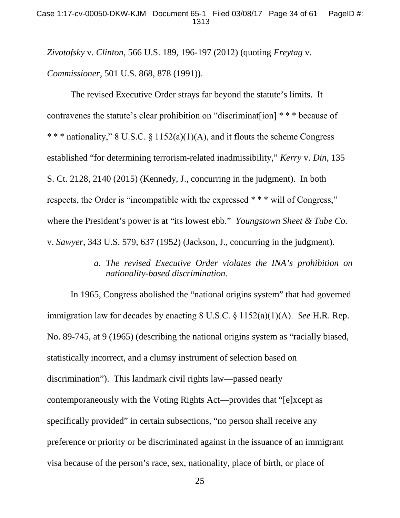*Zivotofsky* v. *Clinton*, 566 U.S. 189, 196-197 (2012) (quoting *Freytag* v. *Commissioner*, 501 U.S. 868, 878 (1991)).

The revised Executive Order strays far beyond the statute's limits. It contravenes the statute's clear prohibition on "discriminat[ion] \* \* \* because of \* \* \* nationality," 8 U.S.C. § 1152(a)(1)(A), and it flouts the scheme Congress established "for determining terrorism-related inadmissibility," *Kerry* v. *Din*, 135 S. Ct. 2128, 2140 (2015) (Kennedy, J., concurring in the judgment). In both respects, the Order is "incompatible with the expressed \* \* \* will of Congress," where the President's power is at "its lowest ebb." *Youngstown Sheet & Tube Co.* v. *Sawyer*, 343 U.S. 579, 637 (1952) (Jackson, J., concurring in the judgment).

> *a. The revised Executive Order violates the INA's prohibition on nationality-based discrimination.*

In 1965, Congress abolished the "national origins system" that had governed immigration law for decades by enacting 8 U.S.C. § 1152(a)(1)(A). *See* H.R. Rep. No. 89-745, at 9 (1965) (describing the national origins system as "racially biased, statistically incorrect, and a clumsy instrument of selection based on discrimination"). This landmark civil rights law—passed nearly contemporaneously with the Voting Rights Act—provides that "[e]xcept as specifically provided" in certain subsections, "no person shall receive any preference or priority or be discriminated against in the issuance of an immigrant visa because of the person's race, sex, nationality, place of birth, or place of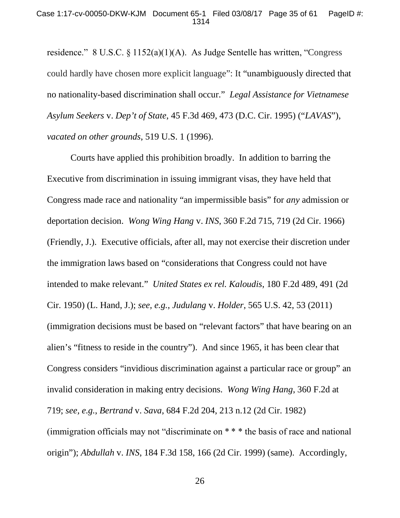residence." 8 U.S.C.  $\S 1152(a)(1)(A)$ . As Judge Sentelle has written, "Congress" could hardly have chosen more explicit language": It "unambiguously directed that no nationality-based discrimination shall occur." *Legal Assistance for Vietnamese Asylum Seekers* v. *Dep't of State*, 45 F.3d 469, 473 (D.C. Cir. 1995) ("*LAVAS*"), *vacated on other grounds*, 519 U.S. 1 (1996).

Courts have applied this prohibition broadly. In addition to barring the Executive from discrimination in issuing immigrant visas, they have held that Congress made race and nationality "an impermissible basis" for *any* admission or deportation decision. *Wong Wing Hang* v. *INS*, 360 F.2d 715, 719 (2d Cir. 1966) (Friendly, J.). Executive officials, after all, may not exercise their discretion under the immigration laws based on "considerations that Congress could not have intended to make relevant." *United States ex rel. Kaloudis*, 180 F.2d 489, 491 (2d Cir. 1950) (L. Hand, J.); *see, e.g.*, *Judulang* v. *Holder*, 565 U.S. 42, 53 (2011) (immigration decisions must be based on "relevant factors" that have bearing on an alien's "fitness to reside in the country"). And since 1965, it has been clear that Congress considers "invidious discrimination against a particular race or group" an invalid consideration in making entry decisions. *Wong Wing Hang*, 360 F.2d at 719; *see, e.g.*, *Bertrand* v. *Sava*, 684 F.2d 204, 213 n.12 (2d Cir. 1982) (immigration officials may not "discriminate on \* \* \* the basis of race and national origin"); *Abdullah* v. *INS*, 184 F.3d 158, 166 (2d Cir. 1999) (same). Accordingly,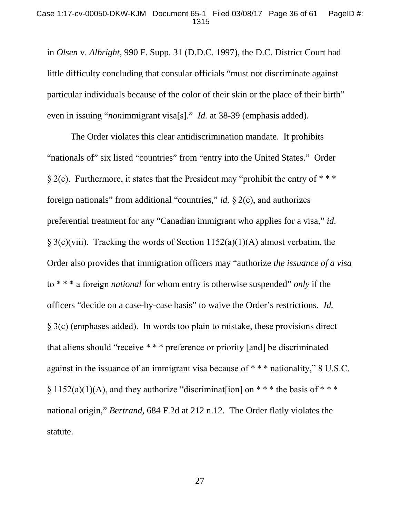#### Case 1:17-cv-00050-DKW-KJM Document 65-1 Filed 03/08/17 Page 36 of 61 PageID #: 1315

in *Olsen* v. *Albright*, 990 F. Supp. 31 (D.D.C. 1997), the D.C. District Court had little difficulty concluding that consular officials "must not discriminate against particular individuals because of the color of their skin or the place of their birth" even in issuing "*non*immigrant visa[s]." *Id.* at 38-39 (emphasis added).

The Order violates this clear antidiscrimination mandate. It prohibits "nationals of" six listed "countries" from "entry into the United States." Order § 2(c). Furthermore, it states that the President may "prohibit the entry of  $***$ foreign nationals" from additional "countries," *id.* § 2(e), and authorizes preferential treatment for any "Canadian immigrant who applies for a visa," *id.* § 3(c)(viii). Tracking the words of Section 1152(a)(1)(A) almost verbatim, the Order also provides that immigration officers may "authorize *the issuance of a visa* to \* \* \* a foreign *national* for whom entry is otherwise suspended" *only* if the officers "decide on a case-by-case basis" to waive the Order's restrictions. *Id.* § 3(c) (emphases added). In words too plain to mistake, these provisions direct that aliens should "receive \* \* \* preference or priority [and] be discriminated against in the issuance of an immigrant visa because of \* \* \* nationality," 8 U.S.C.  $§ 1152(a)(1)(A)$ , and they authorize "discriminaterion] on \*\*\* the basis of \*\*\* national origin," *Bertrand*, 684 F.2d at 212 n.12. The Order flatly violates the statute.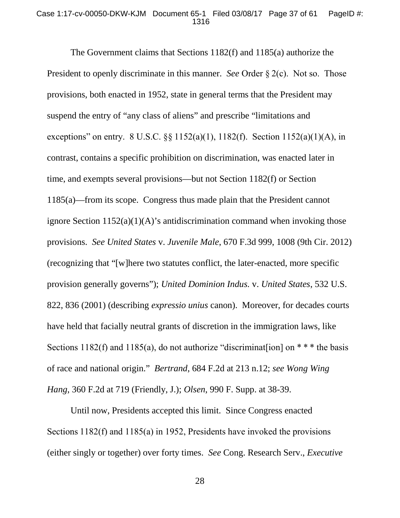#### Case 1:17-cv-00050-DKW-KJM Document 65-1 Filed 03/08/17 Page 37 of 61 PageID #: 1316

The Government claims that Sections 1182(f) and 1185(a) authorize the President to openly discriminate in this manner. *See* Order § 2(c). Not so. Those provisions, both enacted in 1952, state in general terms that the President may suspend the entry of "any class of aliens" and prescribe "limitations and exceptions" on entry. 8 U.S.C.  $\S$   $\S$  1152(a)(1), 1182(f). Section 1152(a)(1)(A), in contrast, contains a specific prohibition on discrimination, was enacted later in time, and exempts several provisions—but not Section 1182(f) or Section 1185(a)—from its scope. Congress thus made plain that the President cannot ignore Section  $1152(a)(1)(A)$ 's antidiscrimination command when invoking those provisions. *See United States* v. *Juvenile Male*, 670 F.3d 999, 1008 (9th Cir. 2012) (recognizing that "[w]here two statutes conflict, the later-enacted, more specific provision generally governs"); *United Dominion Indus.* v. *United States*, 532 U.S. 822, 836 (2001) (describing *expressio unius* canon). Moreover, for decades courts have held that facially neutral grants of discretion in the immigration laws, like Sections 1182(f) and 1185(a), do not authorize "discriminate  $\binom{10}{10}$  on \*\*\* the basis of race and national origin." *Bertrand*, 684 F.2d at 213 n.12; *see Wong Wing Hang*, 360 F.2d at 719 (Friendly, J.); *Olsen*, 990 F. Supp. at 38-39.

Until now, Presidents accepted this limit. Since Congress enacted Sections 1182(f) and 1185(a) in 1952, Presidents have invoked the provisions (either singly or together) over forty times. *See* Cong. Research Serv., *Executive*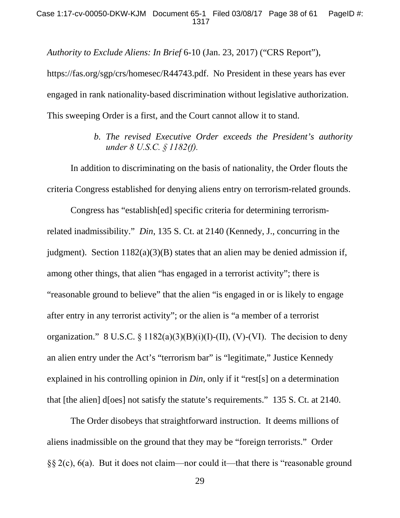*Authority to Exclude Aliens: In Brief* 6-10 (Jan. 23, 2017) ("CRS Report"),

https://fas.org/sgp/crs/homesec/R44743.pdf. No President in these years has ever engaged in rank nationality-based discrimination without legislative authorization. This sweeping Order is a first, and the Court cannot allow it to stand.

## *b. The revised Executive Order exceeds the President's authority under 8 U.S.C. § 1182(f).*

In addition to discriminating on the basis of nationality, the Order flouts the criteria Congress established for denying aliens entry on terrorism-related grounds.

Congress has "establish[ed] specific criteria for determining terrorismrelated inadmissibility." *Din*, 135 S. Ct. at 2140 (Kennedy, J., concurring in the judgment). Section  $1182(a)(3)(B)$  states that an alien may be denied admission if, among other things, that alien "has engaged in a terrorist activity"; there is "reasonable ground to believe" that the alien "is engaged in or is likely to engage after entry in any terrorist activity"; or the alien is "a member of a terrorist organization." 8 U.S.C.  $\S 1182(a)(3)(B)(i)(I)-(II)$ , (V)-(VI). The decision to deny an alien entry under the Act's "terrorism bar" is "legitimate," Justice Kennedy explained in his controlling opinion in *Din*, only if it "rest[s] on a determination that [the alien] d[oes] not satisfy the statute's requirements." 135 S. Ct. at 2140.

The Order disobeys that straightforward instruction. It deems millions of aliens inadmissible on the ground that they may be "foreign terrorists." Order §§ 2(c), 6(a). But it does not claim—nor could it—that there is "reasonable ground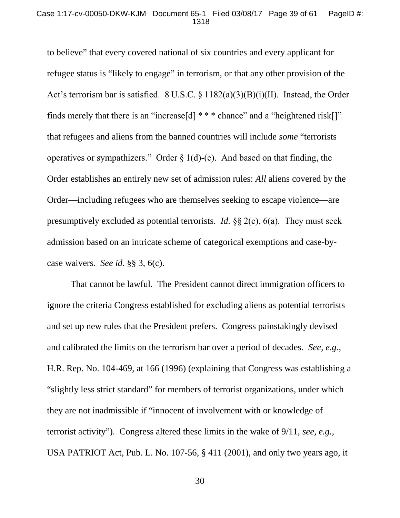#### Case 1:17-cv-00050-DKW-KJM Document 65-1 Filed 03/08/17 Page 39 of 61 PageID #: 1318

to believe" that every covered national of six countries and every applicant for refugee status is "likely to engage" in terrorism, or that any other provision of the Act's terrorism bar is satisfied. 8 U.S.C. § 1182(a)(3)(B)(i)(II). Instead, the Order finds merely that there is an "increase [d]  $***$  chance" and a "heightened risk []" that refugees and aliens from the banned countries will include *some* "terrorists operatives or sympathizers." Order  $\S 1(d)$ -(e). And based on that finding, the Order establishes an entirely new set of admission rules: *All* aliens covered by the Order—including refugees who are themselves seeking to escape violence—are presumptively excluded as potential terrorists. *Id.* §§ 2(c), 6(a). They must seek admission based on an intricate scheme of categorical exemptions and case-bycase waivers. *See id.* §§ 3, 6(c).

That cannot be lawful. The President cannot direct immigration officers to ignore the criteria Congress established for excluding aliens as potential terrorists and set up new rules that the President prefers. Congress painstakingly devised and calibrated the limits on the terrorism bar over a period of decades. *See, e.g.*, H.R. Rep. No. 104-469, at 166 (1996) (explaining that Congress was establishing a "slightly less strict standard" for members of terrorist organizations, under which they are not inadmissible if "innocent of involvement with or knowledge of terrorist activity"). Congress altered these limits in the wake of 9/11, *see, e.g.*, USA PATRIOT Act, Pub. L. No. 107-56, § 411 (2001), and only two years ago, it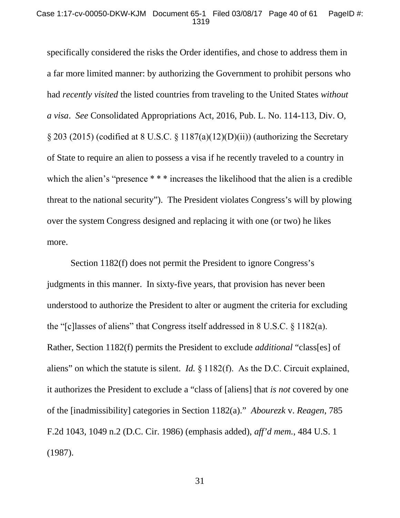specifically considered the risks the Order identifies, and chose to address them in a far more limited manner: by authorizing the Government to prohibit persons who had *recently visited* the listed countries from traveling to the United States *without a visa*. *See* Consolidated Appropriations Act, 2016, Pub. L. No. 114-113, Div. O,  $\S 203$  (2015) (codified at 8 U.S.C.  $\S 1187(a)(12)(D)(ii)$ ) (authorizing the Secretary of State to require an alien to possess a visa if he recently traveled to a country in which the alien's "presence \* \* \* increases the likelihood that the alien is a credible threat to the national security"). The President violates Congress's will by plowing over the system Congress designed and replacing it with one (or two) he likes more.

Section 1182(f) does not permit the President to ignore Congress's judgments in this manner. In sixty-five years, that provision has never been understood to authorize the President to alter or augment the criteria for excluding the "[c]lasses of aliens" that Congress itself addressed in 8 U.S.C. § 1182(a). Rather, Section 1182(f) permits the President to exclude *additional* "class[es] of aliens" on which the statute is silent. *Id.* § 1182(f). As the D.C. Circuit explained, it authorizes the President to exclude a "class of [aliens] that *is not* covered by one of the [inadmissibility] categories in Section 1182(a)." *Abourezk* v. *Reagen*, 785 F.2d 1043, 1049 n.2 (D.C. Cir. 1986) (emphasis added), *aff'd mem.*, 484 U.S. 1 (1987).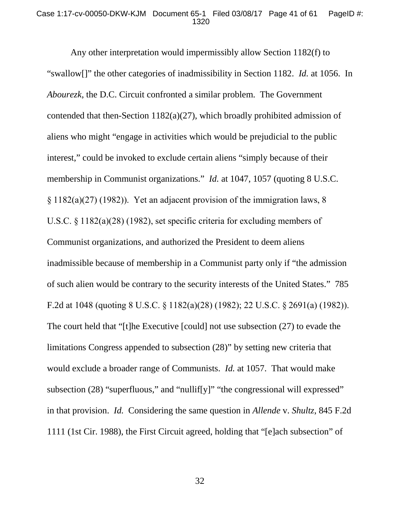#### Case 1:17-cv-00050-DKW-KJM Document 65-1 Filed 03/08/17 Page 41 of 61 PageID #: 1320

Any other interpretation would impermissibly allow Section 1182(f) to "swallow[]" the other categories of inadmissibility in Section 1182. *Id.* at 1056. In *Abourezk*, the D.C. Circuit confronted a similar problem. The Government contended that then-Section 1182(a)(27), which broadly prohibited admission of aliens who might "engage in activities which would be prejudicial to the public interest," could be invoked to exclude certain aliens "simply because of their membership in Communist organizations." *Id.* at 1047, 1057 (quoting 8 U.S.C. § 1182(a)(27) (1982)). Yet an adjacent provision of the immigration laws, 8 U.S.C. § 1182(a)(28) (1982), set specific criteria for excluding members of Communist organizations, and authorized the President to deem aliens inadmissible because of membership in a Communist party only if "the admission of such alien would be contrary to the security interests of the United States." 785 F.2d at 1048 (quoting 8 U.S.C. § 1182(a)(28) (1982); 22 U.S.C. § 2691(a) (1982)). The court held that "[t]he Executive [could] not use subsection (27) to evade the limitations Congress appended to subsection (28)" by setting new criteria that would exclude a broader range of Communists. *Id.* at 1057. That would make subsection (28) "superfluous," and "nullif[y]" "the congressional will expressed" in that provision. *Id.* Considering the same question in *Allende* v. *Shultz*, 845 F.2d 1111 (1st Cir. 1988), the First Circuit agreed, holding that "[e]ach subsection" of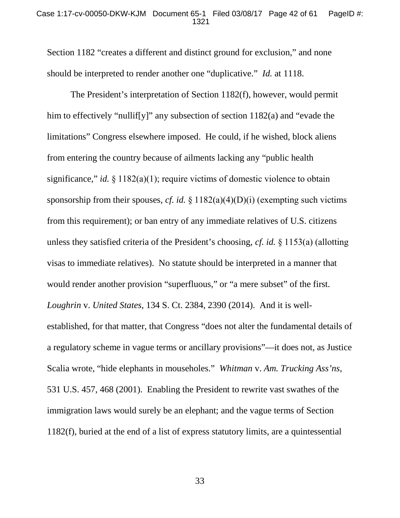#### Case 1:17-cv-00050-DKW-KJM Document 65-1 Filed 03/08/17 Page 42 of 61 PageID #: 1321

Section 1182 "creates a different and distinct ground for exclusion," and none should be interpreted to render another one "duplicative." *Id.* at 1118.

The President's interpretation of Section 1182(f), however, would permit him to effectively "nullif[y]" any subsection of section 1182(a) and "evade the limitations" Congress elsewhere imposed. He could, if he wished, block aliens from entering the country because of ailments lacking any "public health significance," *id.*  $\S$  1182(a)(1); require victims of domestic violence to obtain sponsorship from their spouses, *cf. id.* § 1182(a)(4)(D)(i) (exempting such victims from this requirement); or ban entry of any immediate relatives of U.S. citizens unless they satisfied criteria of the President's choosing, *cf. id.* § 1153(a) (allotting visas to immediate relatives). No statute should be interpreted in a manner that would render another provision "superfluous," or "a mere subset" of the first. *Loughrin* v. *United States*, 134 S. Ct. 2384, 2390 (2014). And it is wellestablished, for that matter, that Congress "does not alter the fundamental details of a regulatory scheme in vague terms or ancillary provisions"—it does not, as Justice Scalia wrote, "hide elephants in mouseholes." *Whitman* v. *Am. Trucking Ass'ns*, 531 U.S. 457, 468 (2001). Enabling the President to rewrite vast swathes of the immigration laws would surely be an elephant; and the vague terms of Section 1182(f), buried at the end of a list of express statutory limits, are a quintessential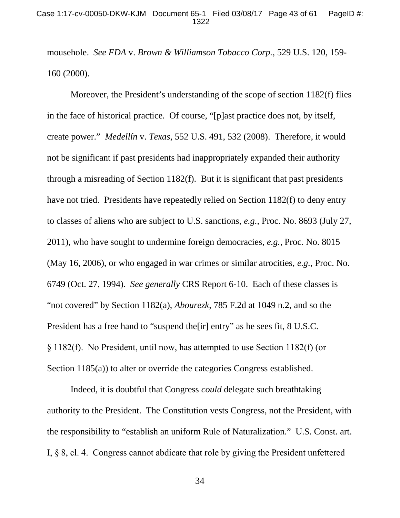mousehole. *See FDA* v. *Brown & Williamson Tobacco Corp.*, 529 U.S. 120, 159- 160 (2000).

Moreover, the President's understanding of the scope of section 1182(f) flies in the face of historical practice. Of course, "[p]ast practice does not, by itself, create power." *Medellín* v. *Texas*, 552 U.S. 491, 532 (2008). Therefore, it would not be significant if past presidents had inappropriately expanded their authority through a misreading of Section 1182(f). But it is significant that past presidents have not tried. Presidents have repeatedly relied on Section 1182(f) to deny entry to classes of aliens who are subject to U.S. sanctions, *e.g.*, Proc. No. 8693 (July 27, 2011), who have sought to undermine foreign democracies, *e.g.*, Proc. No. 8015 (May 16, 2006), or who engaged in war crimes or similar atrocities, *e.g.*, Proc. No. 6749 (Oct. 27, 1994). *See generally* CRS Report 6-10. Each of these classes is "not covered" by Section 1182(a), *Abourezk*, 785 F.2d at 1049 n.2, and so the President has a free hand to "suspend the[ir] entry" as he sees fit, 8 U.S.C. § 1182(f). No President, until now, has attempted to use Section 1182(f) (or Section 1185(a)) to alter or override the categories Congress established.

Indeed, it is doubtful that Congress *could* delegate such breathtaking authority to the President. The Constitution vests Congress, not the President, with the responsibility to "establish an uniform Rule of Naturalization." U.S. Const. art. I, § 8, cl. 4. Congress cannot abdicate that role by giving the President unfettered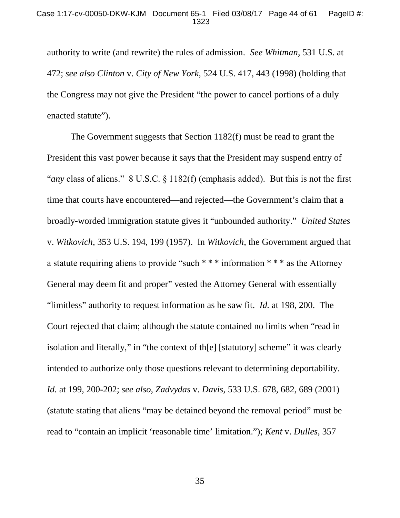authority to write (and rewrite) the rules of admission. *See Whitman*, 531 U.S. at 472; *see also Clinton* v. *City of New York*, 524 U.S. 417, 443 (1998) (holding that the Congress may not give the President "the power to cancel portions of a duly enacted statute").

The Government suggests that Section 1182(f) must be read to grant the President this vast power because it says that the President may suspend entry of "*any* class of aliens." 8 U.S.C. § 1182(f) (emphasis added). But this is not the first time that courts have encountered—and rejected—the Government's claim that a broadly-worded immigration statute gives it "unbounded authority." *United States* v. *Witkovich*, 353 U.S. 194, 199 (1957). In *Witkovich*, the Government argued that a statute requiring aliens to provide "such \* \* \* information \* \* \* as the Attorney General may deem fit and proper" vested the Attorney General with essentially "limitless" authority to request information as he saw fit. *Id.* at 198, 200. The Court rejected that claim; although the statute contained no limits when "read in isolation and literally," in "the context of th[e] [statutory] scheme" it was clearly intended to authorize only those questions relevant to determining deportability. *Id.* at 199, 200-202; *see also*, *Zadvydas* v. *Davis*, 533 U.S. 678, 682, 689 (2001) (statute stating that aliens "may be detained beyond the removal period" must be read to "contain an implicit 'reasonable time' limitation."); *Kent* v. *Dulles*, 357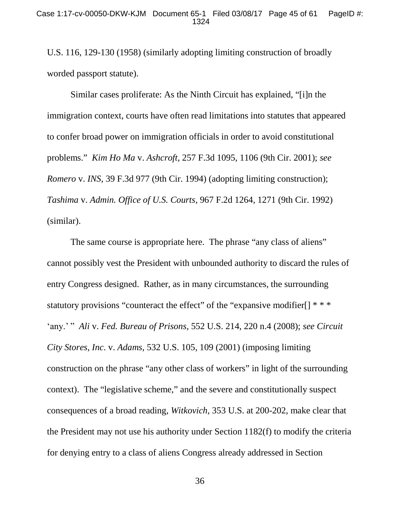U.S. 116, 129-130 (1958) (similarly adopting limiting construction of broadly worded passport statute).

Similar cases proliferate: As the Ninth Circuit has explained, "[i]n the immigration context, courts have often read limitations into statutes that appeared to confer broad power on immigration officials in order to avoid constitutional problems." *Kim Ho Ma* v. *Ashcroft*, 257 F.3d 1095, 1106 (9th Cir. 2001); *see Romero* v. *INS*, 39 F.3d 977 (9th Cir. 1994) (adopting limiting construction); *Tashima* v. *Admin. Office of U.S. Courts*, 967 F.2d 1264, 1271 (9th Cir. 1992) (similar).

The same course is appropriate here. The phrase "any class of aliens" cannot possibly vest the President with unbounded authority to discard the rules of entry Congress designed. Rather, as in many circumstances, the surrounding statutory provisions "counteract the effect" of the "expansive modifier[] \* \* \* 'any.' " *Ali* v. *Fed. Bureau of Prisons*, 552 U.S. 214, 220 n.4 (2008); *see Circuit City Stores, Inc.* v. *Adams*, 532 U.S. 105, 109 (2001) (imposing limiting construction on the phrase "any other class of workers" in light of the surrounding context). The "legislative scheme," and the severe and constitutionally suspect consequences of a broad reading, *Witkovich*, 353 U.S. at 200-202, make clear that the President may not use his authority under Section 1182(f) to modify the criteria for denying entry to a class of aliens Congress already addressed in Section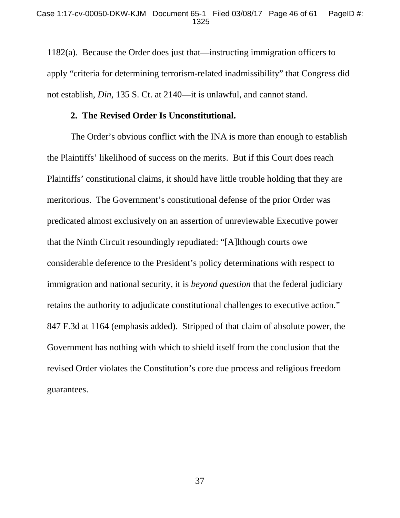1182(a). Because the Order does just that—instructing immigration officers to apply "criteria for determining terrorism-related inadmissibility" that Congress did not establish, *Din*, 135 S. Ct. at 2140—it is unlawful, and cannot stand.

## **2. The Revised Order Is Unconstitutional.**

The Order's obvious conflict with the INA is more than enough to establish the Plaintiffs' likelihood of success on the merits. But if this Court does reach Plaintiffs' constitutional claims, it should have little trouble holding that they are meritorious. The Government's constitutional defense of the prior Order was predicated almost exclusively on an assertion of unreviewable Executive power that the Ninth Circuit resoundingly repudiated: "[A]lthough courts owe considerable deference to the President's policy determinations with respect to immigration and national security, it is *beyond question* that the federal judiciary retains the authority to adjudicate constitutional challenges to executive action." 847 F.3d at 1164 (emphasis added). Stripped of that claim of absolute power, the Government has nothing with which to shield itself from the conclusion that the revised Order violates the Constitution's core due process and religious freedom guarantees.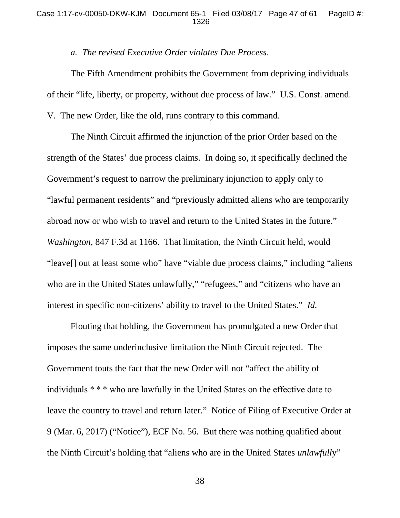#### Case 1:17-cv-00050-DKW-KJM Document 65-1 Filed 03/08/17 Page 47 of 61 PageID #: 1326

#### *a. The revised Executive Order violates Due Process*.

The Fifth Amendment prohibits the Government from depriving individuals of their "life, liberty, or property, without due process of law." U.S. Const. amend. V. The new Order, like the old, runs contrary to this command.

The Ninth Circuit affirmed the injunction of the prior Order based on the strength of the States' due process claims. In doing so, it specifically declined the Government's request to narrow the preliminary injunction to apply only to "lawful permanent residents" and "previously admitted aliens who are temporarily abroad now or who wish to travel and return to the United States in the future." *Washington*, 847 F.3d at 1166. That limitation, the Ninth Circuit held, would "leave[] out at least some who" have "viable due process claims," including "aliens who are in the United States unlawfully," "refugees," and "citizens who have an interest in specific non-citizens' ability to travel to the United States." *Id.*

Flouting that holding, the Government has promulgated a new Order that imposes the same underinclusive limitation the Ninth Circuit rejected. The Government touts the fact that the new Order will not "affect the ability of individuals \* \* \* who are lawfully in the United States on the effective date to leave the country to travel and return later." Notice of Filing of Executive Order at 9 (Mar. 6, 2017) ("Notice"), ECF No. 56. But there was nothing qualified about the Ninth Circuit's holding that "aliens who are in the United States *unlawfull*y"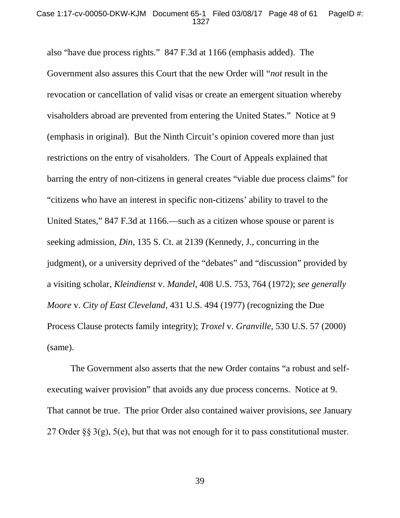also "have due process rights." 847 F.3d at 1166 (emphasis added). The Government also assures this Court that the new Order will "*not* result in the revocation or cancellation of valid visas or create an emergent situation whereby visaholders abroad are prevented from entering the United States." Notice at 9 (emphasis in original). But the Ninth Circuit's opinion covered more than just restrictions on the entry of visaholders. The Court of Appeals explained that barring the entry of non-citizens in general creates "viable due process claims" for "citizens who have an interest in specific non-citizens' ability to travel to the United States," 847 F.3d at 1166*.*—such as a citizen whose spouse or parent is seeking admission, *Din*, 135 S. Ct. at 2139 (Kennedy, J., concurring in the judgment), or a university deprived of the "debates" and "discussion" provided by a visiting scholar, *Kleindienst* v. *Mandel*, 408 U.S. 753, 764 (1972); *see generally Moore* v. *City of East Cleveland*, 431 U.S. 494 (1977) (recognizing the Due Process Clause protects family integrity); *Troxel* v. *Granville*, 530 U.S. 57 (2000) (same).

The Government also asserts that the new Order contains "a robust and selfexecuting waiver provision" that avoids any due process concerns. Notice at 9. That cannot be true. The prior Order also contained waiver provisions, *see* January 27 Order  $\S$ § 3(g), 5(e), but that was not enough for it to pass constitutional muster.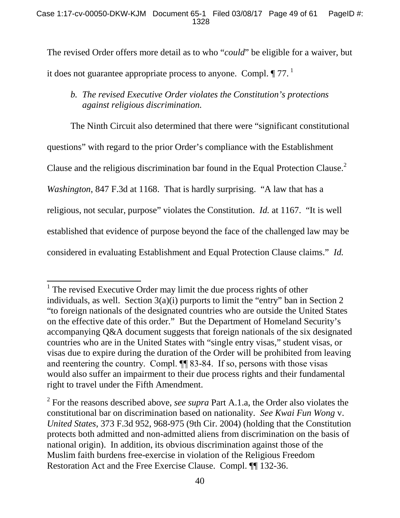The revised Order offers more detail as to who "*could*" be eligible for a waiver, but it does not guarantee appropriate process to anyone. Compl.  $\P$  77.<sup>[1](#page-48-0)</sup>

*b. The revised Executive Order violates the Constitution's protections against religious discrimination.*

The Ninth Circuit also determined that there were "significant constitutional questions" with regard to the prior Order's compliance with the Establishment Clause and the religious discrimination bar found in the Equal Protection Clause.<sup>[2](#page-48-1)</sup> *Washington*, 847 F.3d at 1168. That is hardly surprising. "A law that has a religious, not secular, purpose" violates the Constitution. *Id.* at 1167. "It is well established that evidence of purpose beyond the face of the challenged law may be considered in evaluating Establishment and Equal Protection Clause claims." *Id.*

<span id="page-48-0"></span><sup>&</sup>lt;sup>1</sup> The revised Executive Order may limit the due process rights of other individuals, as well. Section  $3(a)(i)$  purports to limit the "entry" ban in Section 2 "to foreign nationals of the designated countries who are outside the United States on the effective date of this order." But the Department of Homeland Security's accompanying Q&A document suggests that foreign nationals of the six designated countries who are in the United States with "single entry visas," student visas, or visas due to expire during the duration of the Order will be prohibited from leaving and reentering the country. Compl. ¶¶ 83-84. If so, persons with those visas would also suffer an impairment to their due process rights and their fundamental right to travel under the Fifth Amendment.

<span id="page-48-1"></span><sup>2</sup> For the reasons described above, *see supra* Part A.1.a, the Order also violates the constitutional bar on discrimination based on nationality. *See Kwai Fun Wong* v. *United States*, 373 F.3d 952, 968-975 (9th Cir. 2004) (holding that the Constitution protects both admitted and non-admitted aliens from discrimination on the basis of national origin). In addition, its obvious discrimination against those of the Muslim faith burdens free-exercise in violation of the Religious Freedom Restoration Act and the Free Exercise Clause. Compl. ¶¶ 132-36.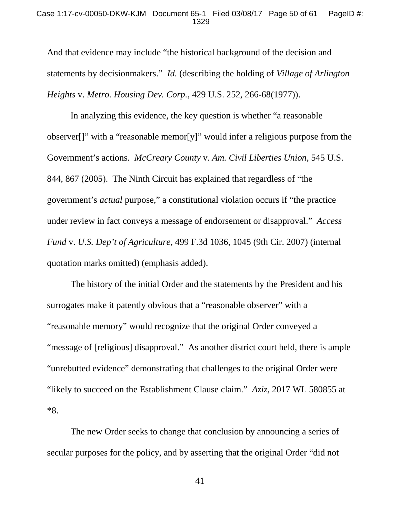#### Case 1:17-cv-00050-DKW-KJM Document 65-1 Filed 03/08/17 Page 50 of 61 PageID #: 1329

And that evidence may include "the historical background of the decision and statements by decisionmakers." *Id.* (describing the holding of *Village of Arlington Heights* v. *Metro. Housing Dev. Corp.*, 429 U.S. 252, 266-68(1977)).

In analyzing this evidence, the key question is whether "a reasonable observer[]" with a "reasonable memor[y]" would infer a religious purpose from the Government's actions. *McCreary County* v. *Am. Civil Liberties Union*, 545 U.S. 844, 867 (2005). The Ninth Circuit has explained that regardless of "the government's *actual* purpose," a constitutional violation occurs if "the practice under review in fact conveys a message of endorsement or disapproval." *Access Fund* v. *U.S. Dep't of Agriculture*, 499 F.3d 1036, 1045 (9th Cir. 2007) (internal quotation marks omitted) (emphasis added).

The history of the initial Order and the statements by the President and his surrogates make it patently obvious that a "reasonable observer" with a "reasonable memory" would recognize that the original Order conveyed a "message of [religious] disapproval." As another district court held, there is ample "unrebutted evidence" demonstrating that challenges to the original Order were "likely to succeed on the Establishment Clause claim." *Aziz*, 2017 WL 580855 at \*8.

The new Order seeks to change that conclusion by announcing a series of secular purposes for the policy, and by asserting that the original Order "did not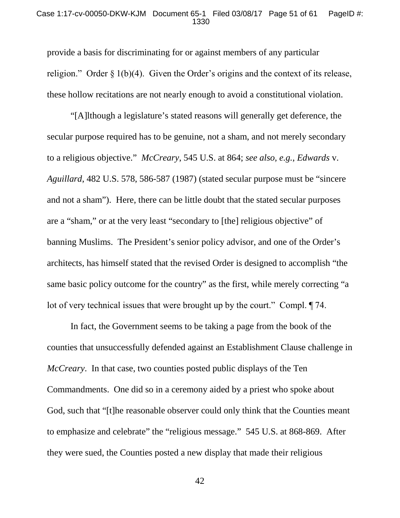#### Case 1:17-cv-00050-DKW-KJM Document 65-1 Filed 03/08/17 Page 51 of 61 PageID #: 1330

provide a basis for discriminating for or against members of any particular religion." Order § 1(b)(4). Given the Order's origins and the context of its release, these hollow recitations are not nearly enough to avoid a constitutional violation.

"[A]lthough a legislature's stated reasons will generally get deference, the secular purpose required has to be genuine, not a sham, and not merely secondary to a religious objective." *McCreary*, 545 U.S. at 864; *see also, e.g.*, *Edwards* v. *Aguillard*, 482 U.S. 578, 586-587 (1987) (stated secular purpose must be "sincere and not a sham"). Here, there can be little doubt that the stated secular purposes are a "sham," or at the very least "secondary to [the] religious objective" of banning Muslims. The President's senior policy advisor, and one of the Order's architects, has himself stated that the revised Order is designed to accomplish "the same basic policy outcome for the country" as the first, while merely correcting "a lot of very technical issues that were brought up by the court." Compl. ¶ 74.

In fact, the Government seems to be taking a page from the book of the counties that unsuccessfully defended against an Establishment Clause challenge in *McCreary*. In that case, two counties posted public displays of the Ten Commandments. One did so in a ceremony aided by a priest who spoke about God, such that "[t]he reasonable observer could only think that the Counties meant to emphasize and celebrate" the "religious message." 545 U.S. at 868-869. After they were sued, the Counties posted a new display that made their religious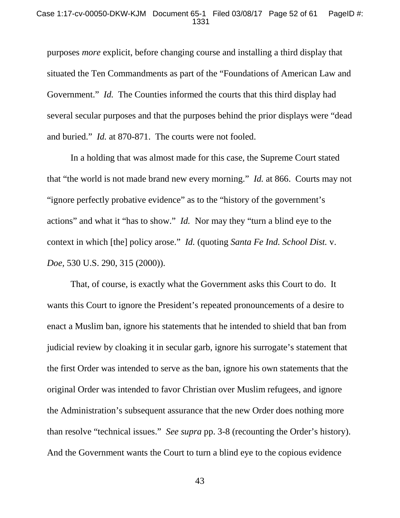purposes *more* explicit, before changing course and installing a third display that situated the Ten Commandments as part of the "Foundations of American Law and Government." *Id.* The Counties informed the courts that this third display had several secular purposes and that the purposes behind the prior displays were "dead and buried." *Id.* at 870-871. The courts were not fooled.

In a holding that was almost made for this case, the Supreme Court stated that "the world is not made brand new every morning." *Id.* at 866. Courts may not "ignore perfectly probative evidence" as to the "history of the government's actions" and what it "has to show." *Id.* Nor may they "turn a blind eye to the context in which [the] policy arose." *Id.* (quoting *Santa Fe Ind. School Dist.* v. *Doe,* 530 U.S. 290, 315 (2000)).

That, of course, is exactly what the Government asks this Court to do. It wants this Court to ignore the President's repeated pronouncements of a desire to enact a Muslim ban, ignore his statements that he intended to shield that ban from judicial review by cloaking it in secular garb, ignore his surrogate's statement that the first Order was intended to serve as the ban, ignore his own statements that the original Order was intended to favor Christian over Muslim refugees, and ignore the Administration's subsequent assurance that the new Order does nothing more than resolve "technical issues." *See supra* pp. 3-8 (recounting the Order's history). And the Government wants the Court to turn a blind eye to the copious evidence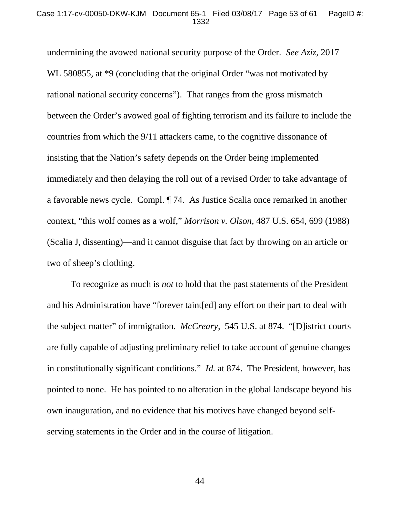undermining the avowed national security purpose of the Order. *See Aziz*, 2017 WL 580855, at  $*9$  (concluding that the original Order "was not motivated by rational national security concerns"). That ranges from the gross mismatch between the Order's avowed goal of fighting terrorism and its failure to include the countries from which the 9/11 attackers came, to the cognitive dissonance of insisting that the Nation's safety depends on the Order being implemented immediately and then delaying the roll out of a revised Order to take advantage of a favorable news cycle. Compl. ¶ 74. As Justice Scalia once remarked in another context, "this wolf comes as a wolf," *Morrison v. Olson*, 487 U.S. 654, 699 (1988) (Scalia J, dissenting)—and it cannot disguise that fact by throwing on an article or two of sheep's clothing.

To recognize as much is *not* to hold that the past statements of the President and his Administration have "forever taint[ed] any effort on their part to deal with the subject matter" of immigration. *McCreary*, 545 U.S. at 874. "[D]istrict courts are fully capable of adjusting preliminary relief to take account of genuine changes in constitutionally significant conditions." *Id.* at 874. The President, however, has pointed to none. He has pointed to no alteration in the global landscape beyond his own inauguration, and no evidence that his motives have changed beyond selfserving statements in the Order and in the course of litigation.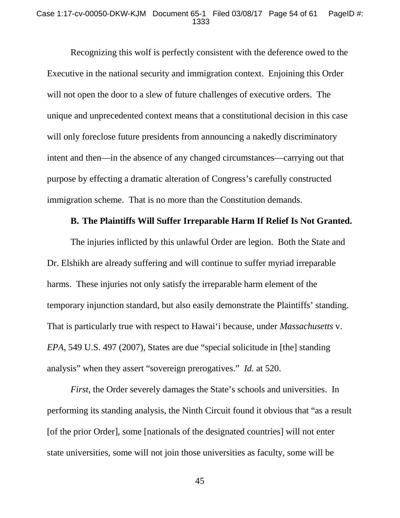#### Case 1:17-cv-00050-DKW-KJM Document 65-1 Filed 03/08/17 Page 54 of 61 PageID #: 1333

Recognizing this wolf is perfectly consistent with the deference owed to the Executive in the national security and immigration context. Enjoining this Order will not open the door to a slew of future challenges of executive orders. The unique and unprecedented context means that a constitutional decision in this case will only foreclose future presidents from announcing a nakedly discriminatory intent and then—in the absence of any changed circumstances—carrying out that purpose by effecting a dramatic alteration of Congress's carefully constructed immigration scheme. That is no more than the Constitution demands.

### **B. The Plaintiffs Will Suffer Irreparable Harm If Relief Is Not Granted.**

The injuries inflicted by this unlawful Order are legion. Both the State and Dr. Elshikh are already suffering and will continue to suffer myriad irreparable harms. These injuries not only satisfy the irreparable harm element of the temporary injunction standard, but also easily demonstrate the Plaintiffs' standing. That is particularly true with respect to Hawai'i because, under *Massachusetts* v. *EPA*, 549 U.S. 497 (2007), States are due "special solicitude in [the] standing analysis" when they assert "sovereign prerogatives." *Id.* at 520.

*First*, the Order severely damages the State's schools and universities. In performing its standing analysis, the Ninth Circuit found it obvious that "as a result [of the prior Order], some [nationals of the designated countries] will not enter state universities, some will not join those universities as faculty, some will be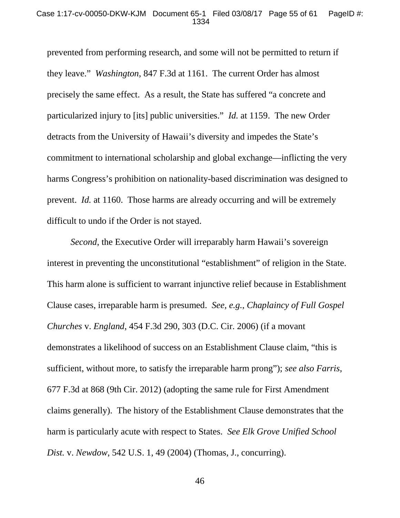#### Case 1:17-cv-00050-DKW-KJM Document 65-1 Filed 03/08/17 Page 55 of 61 PageID #: 1334

prevented from performing research, and some will not be permitted to return if they leave." *Washington*, 847 F.3d at 1161. The current Order has almost precisely the same effect. As a result, the State has suffered "a concrete and particularized injury to [its] public universities." *Id.* at 1159. The new Order detracts from the University of Hawaii's diversity and impedes the State's commitment to international scholarship and global exchange—inflicting the very harms Congress's prohibition on nationality-based discrimination was designed to prevent. *Id.* at 1160. Those harms are already occurring and will be extremely difficult to undo if the Order is not stayed.

*Second*, the Executive Order will irreparably harm Hawaii's sovereign interest in preventing the unconstitutional "establishment" of religion in the State. This harm alone is sufficient to warrant injunctive relief because in Establishment Clause cases, irreparable harm is presumed. *See, e.g.*, *Chaplaincy of Full Gospel Churches* v. *England*, 454 F.3d 290, 303 (D.C. Cir. 2006) (if a movant demonstrates a likelihood of success on an Establishment Clause claim, "this is sufficient, without more, to satisfy the irreparable harm prong"); *see also Farris*, 677 F.3d at 868 (9th Cir. 2012) (adopting the same rule for First Amendment claims generally). The history of the Establishment Clause demonstrates that the harm is particularly acute with respect to States. *See Elk Grove Unified School Dist.* v. *Newdow*, 542 U.S. 1, 49 (2004) (Thomas, J., concurring).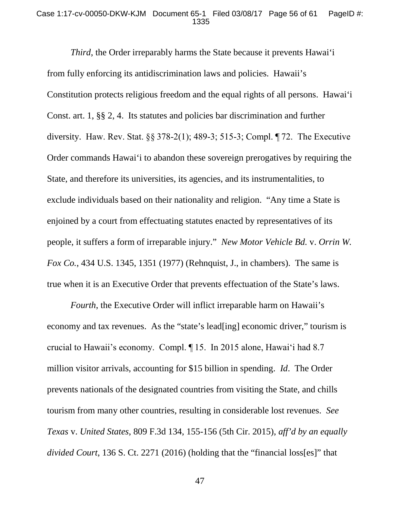#### Case 1:17-cv-00050-DKW-KJM Document 65-1 Filed 03/08/17 Page 56 of 61 PageID #: 1335

*Third*, the Order irreparably harms the State because it prevents Hawai'i from fully enforcing its antidiscrimination laws and policies. Hawaii's Constitution protects religious freedom and the equal rights of all persons. Hawai'i Const. art. 1, §§ 2, 4. Its statutes and policies bar discrimination and further diversity. Haw. Rev. Stat. §§ 378-2(1); 489-3; 515-3; Compl. ¶ 72. The Executive Order commands Hawai'i to abandon these sovereign prerogatives by requiring the State, and therefore its universities, its agencies, and its instrumentalities, to exclude individuals based on their nationality and religion. "Any time a State is enjoined by a court from effectuating statutes enacted by representatives of its people, it suffers a form of irreparable injury." *New Motor Vehicle Bd.* v. *Orrin W. Fox Co.*, 434 U.S. 1345, 1351 (1977) (Rehnquist, J., in chambers). The same is true when it is an Executive Order that prevents effectuation of the State's laws.

*Fourth*, the Executive Order will inflict irreparable harm on Hawaii's economy and tax revenues. As the "state's lead[ing] economic driver," tourism is crucial to Hawaii's economy. Compl. ¶ 15. In 2015 alone, Hawai'i had 8.7 million visitor arrivals, accounting for \$15 billion in spending. *Id*. The Order prevents nationals of the designated countries from visiting the State, and chills tourism from many other countries, resulting in considerable lost revenues. *See Texas* v. *United States*, 809 F.3d 134, 155-156 (5th Cir. 2015), *aff'd by an equally divided Court*, 136 S. Ct. 2271 (2016) (holding that the "financial loss[es]" that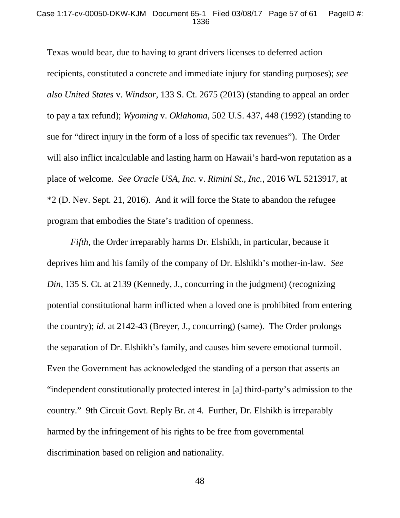#### Case 1:17-cv-00050-DKW-KJM Document 65-1 Filed 03/08/17 Page 57 of 61 PageID #: 1336

Texas would bear, due to having to grant drivers licenses to deferred action recipients, constituted a concrete and immediate injury for standing purposes); *see also United States* v. *Windsor*, 133 S. Ct. 2675 (2013) (standing to appeal an order to pay a tax refund); *Wyoming* v. *Oklahoma*, 502 U.S. 437, 448 (1992) (standing to sue for "direct injury in the form of a loss of specific tax revenues"). The Order will also inflict incalculable and lasting harm on Hawaii's hard-won reputation as a place of welcome. *See Oracle USA, Inc.* v. *Rimini St., Inc.*, 2016 WL 5213917, at \*2 (D. Nev. Sept. 21, 2016). And it will force the State to abandon the refugee program that embodies the State's tradition of openness.

*Fifth*, the Order irreparably harms Dr. Elshikh, in particular, because it deprives him and his family of the company of Dr. Elshikh's mother-in-law. *See Din*, 135 S. Ct. at 2139 (Kennedy, J., concurring in the judgment) (recognizing potential constitutional harm inflicted when a loved one is prohibited from entering the country); *id.* at 2142-43 (Breyer, J., concurring) (same). The Order prolongs the separation of Dr. Elshikh's family, and causes him severe emotional turmoil. Even the Government has acknowledged the standing of a person that asserts an "independent constitutionally protected interest in [a] third-party's admission to the country." 9th Circuit Govt. Reply Br. at 4. Further, Dr. Elshikh is irreparably harmed by the infringement of his rights to be free from governmental discrimination based on religion and nationality.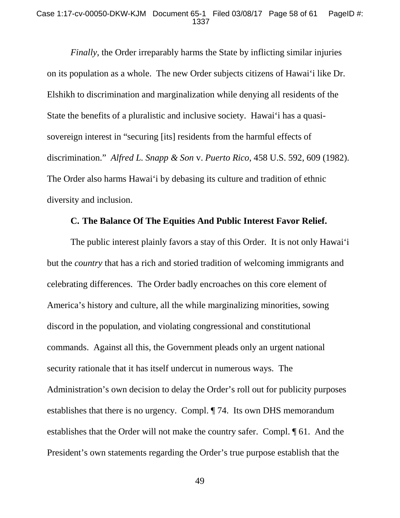#### Case 1:17-cv-00050-DKW-KJM Document 65-1 Filed 03/08/17 Page 58 of 61 PageID #: 1337

*Finally*, the Order irreparably harms the State by inflicting similar injuries on its population as a whole. The new Order subjects citizens of Hawai'i like Dr. Elshikh to discrimination and marginalization while denying all residents of the State the benefits of a pluralistic and inclusive society. Hawai'i has a quasisovereign interest in "securing [its] residents from the harmful effects of discrimination." *Alfred L. Snapp & Son* v. *Puerto Rico*, 458 U.S. 592, 609 (1982). The Order also harms Hawai'i by debasing its culture and tradition of ethnic diversity and inclusion.

## **C. The Balance Of The Equities And Public Interest Favor Relief.**

The public interest plainly favors a stay of this Order. It is not only Hawai'i but the *country* that has a rich and storied tradition of welcoming immigrants and celebrating differences. The Order badly encroaches on this core element of America's history and culture, all the while marginalizing minorities, sowing discord in the population, and violating congressional and constitutional commands. Against all this, the Government pleads only an urgent national security rationale that it has itself undercut in numerous ways. The Administration's own decision to delay the Order's roll out for publicity purposes establishes that there is no urgency. Compl. ¶ 74. Its own DHS memorandum establishes that the Order will not make the country safer. Compl. ¶ 61. And the President's own statements regarding the Order's true purpose establish that the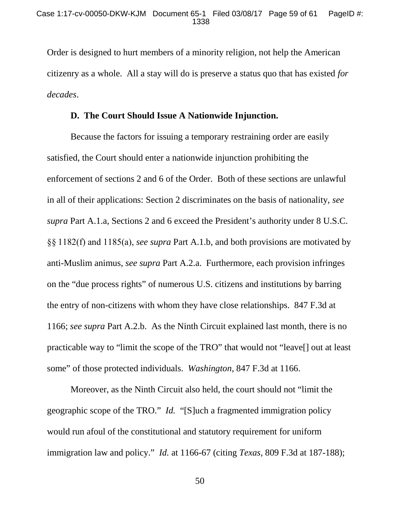Order is designed to hurt members of a minority religion, not help the American citizenry as a whole. All a stay will do is preserve a status quo that has existed *for decades*.

### **D. The Court Should Issue A Nationwide Injunction.**

Because the factors for issuing a temporary restraining order are easily satisfied, the Court should enter a nationwide injunction prohibiting the enforcement of sections 2 and 6 of the Order. Both of these sections are unlawful in all of their applications: Section 2 discriminates on the basis of nationality, *see supra* Part A.1.a, Sections 2 and 6 exceed the President's authority under 8 U.S.C. §§ 1182(f) and 1185(a), *see supra* Part A.1.b, and both provisions are motivated by anti-Muslim animus, *see supra* Part A.2.a. Furthermore, each provision infringes on the "due process rights" of numerous U.S. citizens and institutions by barring the entry of non-citizens with whom they have close relationships. 847 F.3d at 1166; *see supra* Part A.2.b. As the Ninth Circuit explained last month, there is no practicable way to "limit the scope of the TRO" that would not "leave[] out at least some" of those protected individuals. *Washington*, 847 F.3d at 1166.

Moreover, as the Ninth Circuit also held, the court should not "limit the geographic scope of the TRO." *Id.* "[S]uch a fragmented immigration policy would run afoul of the constitutional and statutory requirement for uniform immigration law and policy." *Id.* at 1166-67 (citing *Texas*, 809 F.3d at 187-188);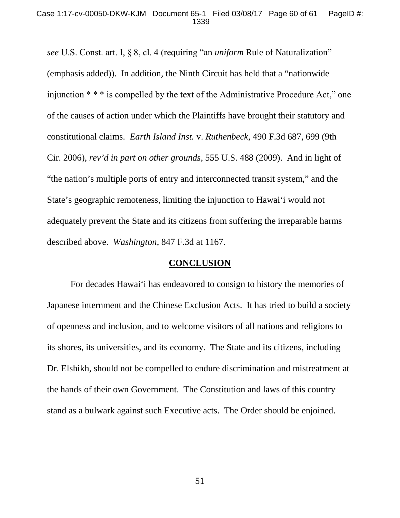*see* U.S. Const. art. I, § 8, cl. 4 (requiring "an *uniform* Rule of Naturalization" (emphasis added)). In addition, the Ninth Circuit has held that a "nationwide injunction \* \* \* is compelled by the text of the Administrative Procedure Act," one of the causes of action under which the Plaintiffs have brought their statutory and constitutional claims. *Earth Island Inst.* v. *Ruthenbeck*, 490 F.3d 687, 699 (9th Cir. 2006), *rev'd in part on other grounds*, 555 U.S. 488 (2009). And in light of "the nation's multiple ports of entry and interconnected transit system," and the State's geographic remoteness, limiting the injunction to Hawai'i would not adequately prevent the State and its citizens from suffering the irreparable harms described above. *Washington*, 847 F.3d at 1167.

### **CONCLUSION**

For decades Hawai'i has endeavored to consign to history the memories of Japanese internment and the Chinese Exclusion Acts. It has tried to build a society of openness and inclusion, and to welcome visitors of all nations and religions to its shores, its universities, and its economy. The State and its citizens, including Dr. Elshikh, should not be compelled to endure discrimination and mistreatment at the hands of their own Government. The Constitution and laws of this country stand as a bulwark against such Executive acts. The Order should be enjoined.